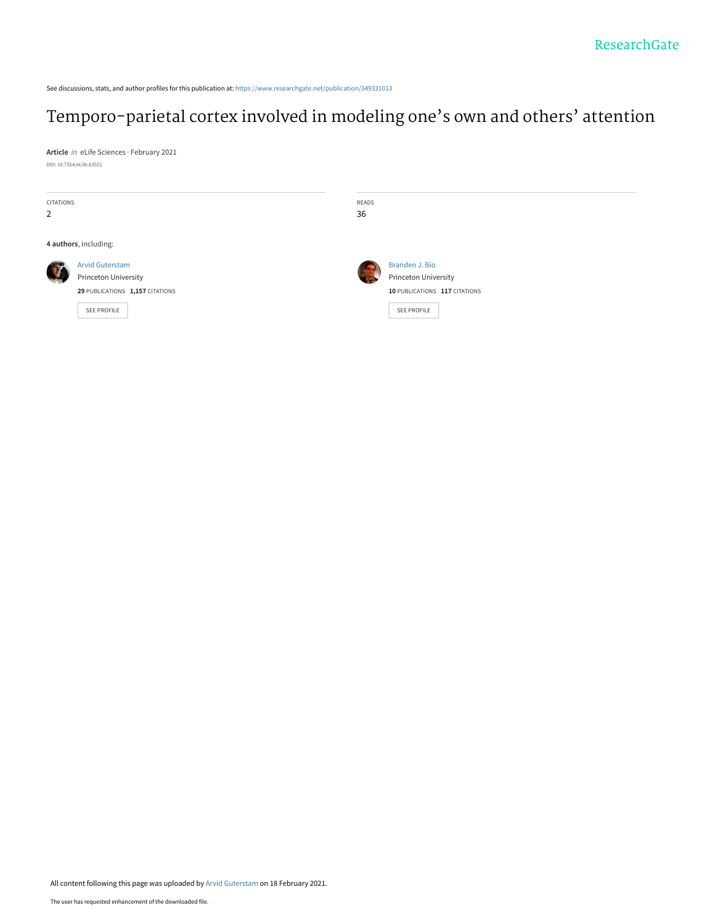See discussions, stats, and author profiles for this publication at: https://www.researchgate.net/publication/349331013

Temporo-parietal cortex involved in modeling one's own and others' attention

**Article** in eLife Sciences · February 2021 DOI: 10.7554/eLife.63551

| CITATIONS<br>$\overline{2}$ |                                                                                   |  | READS<br>36                                                             |  |  |  |  |
|-----------------------------|-----------------------------------------------------------------------------------|--|-------------------------------------------------------------------------|--|--|--|--|
|                             | 4 authors, including:                                                             |  |                                                                         |  |  |  |  |
|                             | <b>Arvid Guterstam</b><br>Princeton University<br>29 PUBLICATIONS 1,157 CITATIONS |  | Branden J. Bio<br>Princeton University<br>10 PUBLICATIONS 117 CITATIONS |  |  |  |  |
|                             | SEE PROFILE                                                                       |  | SEE PROFILE                                                             |  |  |  |  |

All content following this page was uploaded by Arvid Guterstam on 18 February 2021.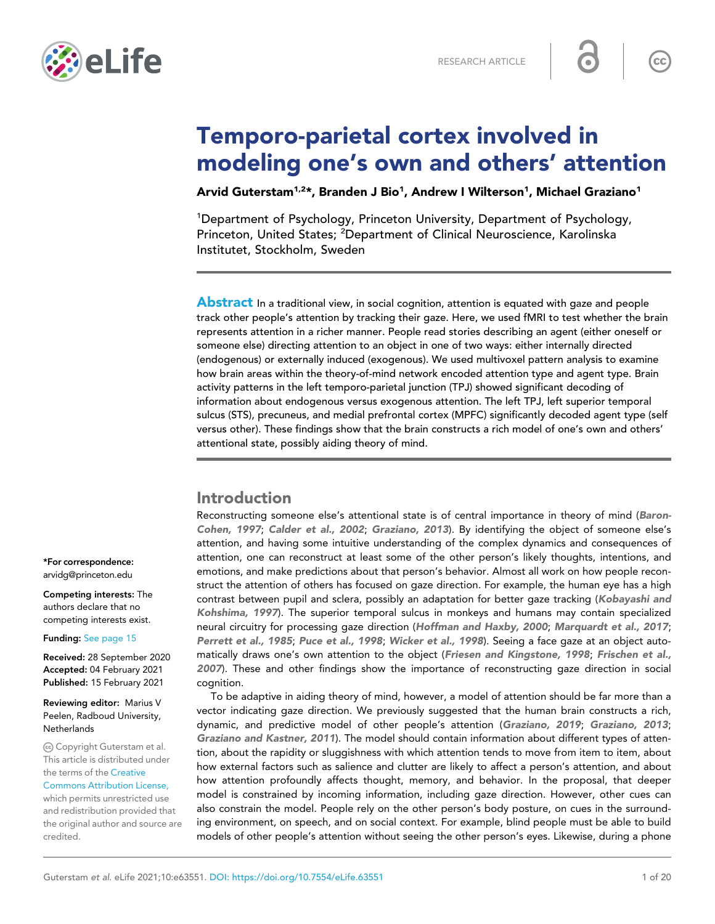

# Temporo-parietal cortex involved in modeling one's own and others' attention

Arvid Guterstam $^{1,2\star}$ , Branden J Bio $^1$ , Andrew I Wilterson $^1$ , Michael Graziano $^1$ 

<sup>1</sup>Department of Psychology, Princeton University, Department of Psychology, Princeton, United States; <sup>2</sup>Department of Clinical Neuroscience, Karolinska Institutet, Stockholm, Sweden

**Abstract** In a traditional view, in social cognition, attention is equated with gaze and people track other people's attention by tracking their gaze. Here, we used fMRI to test whether the brain represents attention in a richer manner. People read stories describing an agent (either oneself or someone else) directing attention to an object in one of two ways: either internally directed (endogenous) or externally induced (exogenous). We used multivoxel pattern analysis to examine how brain areas within the theory-of-mind network encoded attention type and agent type. Brain activity patterns in the left temporo-parietal junction (TPJ) showed significant decoding of information about endogenous versus exogenous attention. The left TPJ, left superior temporal sulcus (STS), precuneus, and medial prefrontal cortex (MPFC) significantly decoded agent type (self versus other). These findings show that the brain constructs a rich model of one's own and others' attentional state, possibly aiding theory of mind.

## Introduction

Reconstructing someone else's attentional state is of central importance in theory of mind (Baron-Cohen, 1997; Calder et al., 2002; Graziano, 2013). By identifying the object of someone else's attention, and having some intuitive understanding of the complex dynamics and consequences of attention, one can reconstruct at least some of the other person's likely thoughts, intentions, and emotions, and make predictions about that person's behavior. Almost all work on how people reconstruct the attention of others has focused on gaze direction. For example, the human eye has a high contrast between pupil and sclera, possibly an adaptation for better gaze tracking (Kobayashi and Kohshima, 1997). The superior temporal sulcus in monkeys and humans may contain specialized neural circuitry for processing gaze direction (Hoffman and Haxby, 2000; Marquardt et al., 2017; Perrett et al., 1985; Puce et al., 1998; Wicker et al., 1998). Seeing a face gaze at an object automatically draws one's own attention to the object (Friesen and Kingstone, 1998; Frischen et al., 2007). These and other findings show the importance of reconstructing gaze direction in social cognition.

To be adaptive in aiding theory of mind, however, a model of attention should be far more than a vector indicating gaze direction. We previously suggested that the human brain constructs a rich, dynamic, and predictive model of other people's attention (Graziano, 2019; Graziano, 2013; Graziano and Kastner, 2011). The model should contain information about different types of attention, about the rapidity or sluggishness with which attention tends to move from item to item, about how external factors such as salience and clutter are likely to affect a person's attention, and about how attention profoundly affects thought, memory, and behavior. In the proposal, that deeper model is constrained by incoming information, including gaze direction. However, other cues can also constrain the model. People rely on the other person's body posture, on cues in the surrounding environment, on speech, and on social context. For example, blind people must be able to build models of other people's attention without seeing the other person's eyes. Likewise, during a phone

\*For correspondence: arvidg@princeton.edu

Competing interests: The authors declare that no competing interests exist.

Funding: See page 15

Received: 28 September 2020 Accepted: 04 February 2021 Published: 15 February 2021

Reviewing editor: Marius V Peelen, Radboud University, **Netherlands** 

Copyright Guterstam et al. This article is distributed under the terms of the Creative

Commons Attribution License, which permits unrestricted use and redistribution provided that the original author and source are credited.

 $cc$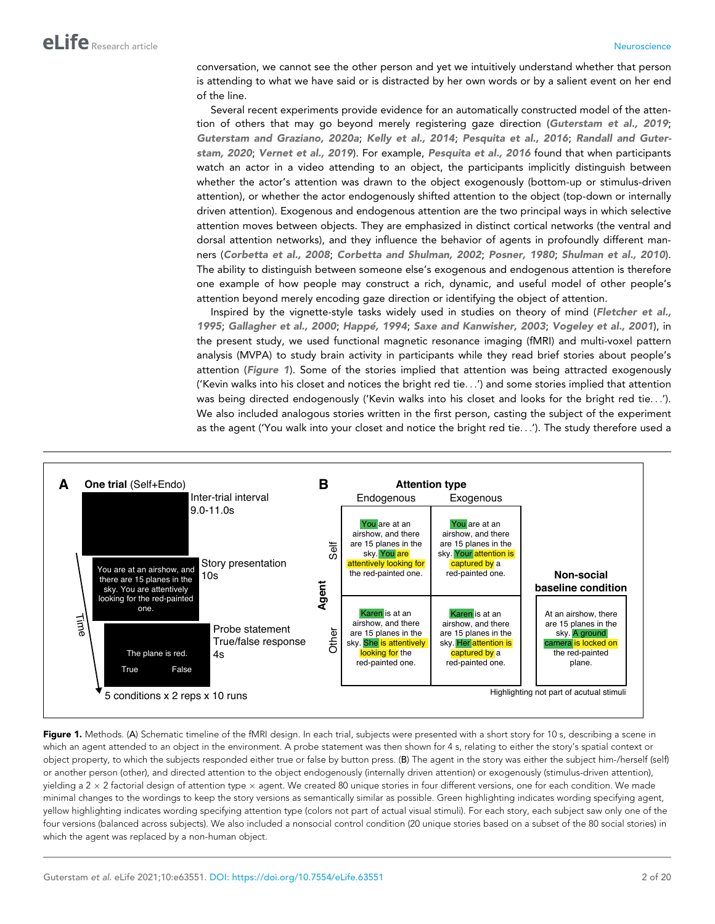conversation, we cannot see the other person and yet we intuitively understand whether that person is attending to what we have said or is distracted by her own words or by a salient event on her end of the line.

Several recent experiments provide evidence for an automatically constructed model of the attention of others that may go beyond merely registering gaze direction (Guterstam et al., 2019; Guterstam and Graziano, 2020a; Kelly et al., 2014; Pesquita et al., 2016; Randall and Guterstam, 2020; Vernet et al., 2019). For example, Pesquita et al., 2016 found that when participants watch an actor in a video attending to an object, the participants implicitly distinguish between whether the actor's attention was drawn to the object exogenously (bottom-up or stimulus-driven attention), or whether the actor endogenously shifted attention to the object (top-down or internally driven attention). Exogenous and endogenous attention are the two principal ways in which selective attention moves between objects. They are emphasized in distinct cortical networks (the ventral and dorsal attention networks), and they influence the behavior of agents in profoundly different manners (Corbetta et al., 2008; Corbetta and Shulman, 2002; Posner, 1980; Shulman et al., 2010). The ability to distinguish between someone else's exogenous and endogenous attention is therefore one example of how people may construct a rich, dynamic, and useful model of other people's attention beyond merely encoding gaze direction or identifying the object of attention.

Inspired by the vignette-style tasks widely used in studies on theory of mind (Fletcher et al., 1995; Gallagher et al., 2000; Happé, 1994; Saxe and Kanwisher, 2003; Vogeley et al., 2001), in the present study, we used functional magnetic resonance imaging (fMRI) and multi-voxel pattern analysis (MVPA) to study brain activity in participants while they read brief stories about people's attention (Figure 1). Some of the stories implied that attention was being attracted exogenously ('Kevin walks into his closet and notices the bright red tie...') and some stories implied that attention was being directed endogenously ('Kevin walks into his closet and looks for the bright red tie...'). We also included analogous stories written in the first person, casting the subject of the experiment as the agent ('You walk into your closet and notice the bright red tie...'). The study therefore used a



Figure 1. Methods. (A) Schematic timeline of the fMRI design. In each trial, subjects were presented with a short story for 10 s, describing a scene in which an agent attended to an object in the environment. A probe statement was then shown for 4 s, relating to either the story's spatial context or object property, to which the subjects responded either true or false by button press. (B) The agent in the story was either the subject him-/herself (self) or another person (other), and directed attention to the object endogenously (internally driven attention) or exogenously (stimulus-driven attention), yielding a  $2 \times 2$  factorial design of attention type  $\times$  agent. We created 80 unique stories in four different versions, one for each condition. We made minimal changes to the wordings to keep the story versions as semantically similar as possible. Green highlighting indicates wording specifying agent, yellow highlighting indicates wording specifying attention type (colors not part of actual visual stimuli). For each story, each subject saw only one of the four versions (balanced across subjects). We also included a nonsocial control condition (20 unique stories based on a subset of the 80 social stories) in which the agent was replaced by a non-human object.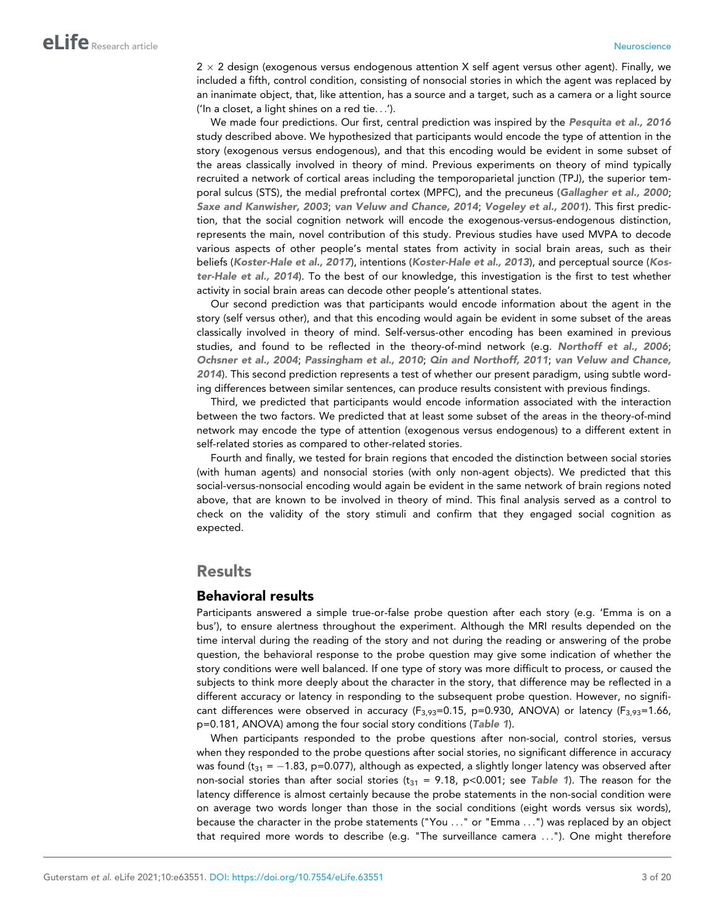$2 \times 2$  design (exogenous versus endogenous attention X self agent versus other agent). Finally, we included a fifth, control condition, consisting of nonsocial stories in which the agent was replaced by an inanimate object, that, like attention, has a source and a target, such as a camera or a light source ('In a closet, a light shines on a red tie...').

We made four predictions. Our first, central prediction was inspired by the Pesquita et al., 2016 study described above. We hypothesized that participants would encode the type of attention in the story (exogenous versus endogenous), and that this encoding would be evident in some subset of the areas classically involved in theory of mind. Previous experiments on theory of mind typically recruited a network of cortical areas including the temporoparietal junction (TPJ), the superior temporal sulcus (STS), the medial prefrontal cortex (MPFC), and the precuneus (Gallagher et al., 2000; Saxe and Kanwisher, 2003; van Veluw and Chance, 2014; Vogeley et al., 2001). This first prediction, that the social cognition network will encode the exogenous-versus-endogenous distinction, represents the main, novel contribution of this study. Previous studies have used MVPA to decode various aspects of other people's mental states from activity in social brain areas, such as their beliefs (Koster-Hale et al., 2017), intentions (Koster-Hale et al., 2013), and perceptual source (Koster-Hale et al., 2014). To the best of our knowledge, this investigation is the first to test whether activity in social brain areas can decode other people's attentional states.

Our second prediction was that participants would encode information about the agent in the story (self versus other), and that this encoding would again be evident in some subset of the areas classically involved in theory of mind. Self-versus-other encoding has been examined in previous studies, and found to be reflected in the theory-of-mind network (e.g. Northoff et al., 2006; Ochsner et al., 2004; Passingham et al., 2010; Qin and Northoff, 2011; van Veluw and Chance, 2014). This second prediction represents a test of whether our present paradigm, using subtle wording differences between similar sentences, can produce results consistent with previous findings.

Third, we predicted that participants would encode information associated with the interaction between the two factors. We predicted that at least some subset of the areas in the theory-of-mind network may encode the type of attention (exogenous versus endogenous) to a different extent in self-related stories as compared to other-related stories.

Fourth and finally, we tested for brain regions that encoded the distinction between social stories (with human agents) and nonsocial stories (with only non-agent objects). We predicted that this social-versus-nonsocial encoding would again be evident in the same network of brain regions noted above, that are known to be involved in theory of mind. This final analysis served as a control to check on the validity of the story stimuli and confirm that they engaged social cognition as expected.

## **Results**

### Behavioral results

Participants answered a simple true-or-false probe question after each story (e.g. 'Emma is on a bus'), to ensure alertness throughout the experiment. Although the MRI results depended on the time interval during the reading of the story and not during the reading or answering of the probe question, the behavioral response to the probe question may give some indication of whether the story conditions were well balanced. If one type of story was more difficult to process, or caused the subjects to think more deeply about the character in the story, that difference may be reflected in a different accuracy or latency in responding to the subsequent probe question. However, no significant differences were observed in accuracy ( $F_{3,93}=0.15$ , p=0.930, ANOVA) or latency ( $F_{3,93}=1.66$ , p=0.181, ANOVA) among the four social story conditions (Table 1).

When participants responded to the probe questions after non-social, control stories, versus when they responded to the probe questions after social stories, no significant difference in accuracy was found ( $t_{31} = -1.83$ , p=0.077), although as expected, a slightly longer latency was observed after non-social stories than after social stories ( $t_{31}$  = 9.18, p<0.001; see Table 1). The reason for the latency difference is almost certainly because the probe statements in the non-social condition were on average two words longer than those in the social conditions (eight words versus six words), because the character in the probe statements ("You ..." or "Emma ...") was replaced by an object that required more words to describe (e.g. "The surveillance camera ..."). One might therefore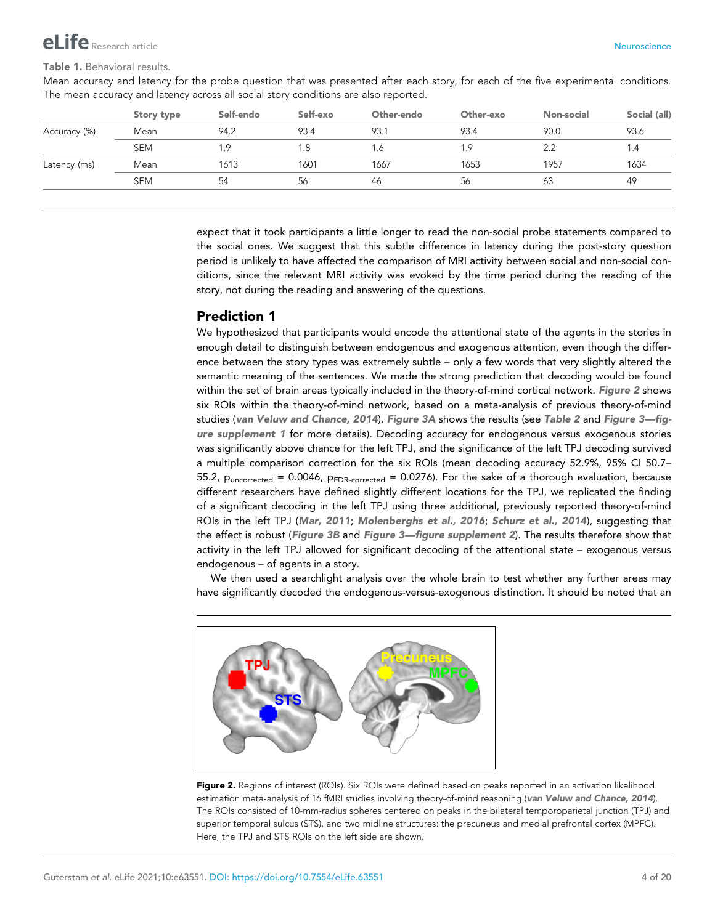#### Table 1. Behavioral results.

Mean accuracy and latency for the probe question that was presented after each story, for each of the five experimental conditions. The mean accuracy and latency across all social story conditions are also reported.

|              | Story type | Self-endo | Self-exo | Other-endo | Other-exo | Non-social | Social (all) |
|--------------|------------|-----------|----------|------------|-----------|------------|--------------|
| Accuracy (%) | Mean       | 94.2      | 93.4     | 93.1       | 93.4      | 90.0       | 93.6         |
|              | <b>SEM</b> | 1.9       | 1.8      | 1.6        | 1.9       | 2.2        | 1.4          |
| Latency (ms) | Mean       | 1613      | 1601     | 1667       | 1653      | 1957       | 1634         |
|              | <b>SEM</b> | 54        | 56       | 46         | 56        | 63         | 49           |
|              |            |           |          |            |           |            |              |

expect that it took participants a little longer to read the non-social probe statements compared to the social ones. We suggest that this subtle difference in latency during the post-story question period is unlikely to have affected the comparison of MRI activity between social and non-social conditions, since the relevant MRI activity was evoked by the time period during the reading of the story, not during the reading and answering of the questions.

## Prediction 1

We hypothesized that participants would encode the attentional state of the agents in the stories in enough detail to distinguish between endogenous and exogenous attention, even though the difference between the story types was extremely subtle – only a few words that very slightly altered the semantic meaning of the sentences. We made the strong prediction that decoding would be found within the set of brain areas typically included in the theory-of-mind cortical network. Figure 2 shows six ROIs within the theory-of-mind network, based on a meta-analysis of previous theory-of-mind studies (van Veluw and Chance, 2014). Figure 3A shows the results (see Table 2 and Figure 3-figure supplement 1 for more details). Decoding accuracy for endogenous versus exogenous stories was significantly above chance for the left TPJ, and the significance of the left TPJ decoding survived a multiple comparison correction for the six ROIs (mean decoding accuracy 52.9%, 95% CI 50.7– 55.2,  $p_{uncorrected} = 0.0046$ ,  $p_{FDR-corrected} = 0.0276$ ). For the sake of a thorough evaluation, because different researchers have defined slightly different locations for the TPJ, we replicated the finding of a significant decoding in the left TPJ using three additional, previously reported theory-of-mind ROIs in the left TPJ (Mar, 2011; Molenberghs et al., 2016; Schurz et al., 2014), suggesting that the effect is robust (Figure 3B and Figure 3—figure supplement 2). The results therefore show that activity in the left TPJ allowed for significant decoding of the attentional state – exogenous versus endogenous – of agents in a story.

We then used a searchlight analysis over the whole brain to test whether any further areas may have significantly decoded the endogenous-versus-exogenous distinction. It should be noted that an



Figure 2. Regions of interest (ROIs). Six ROIs were defined based on peaks reported in an activation likelihood estimation meta-analysis of 16 fMRI studies involving theory-of-mind reasoning (van Veluw and Chance, 2014). The ROIs consisted of 10-mm-radius spheres centered on peaks in the bilateral temporoparietal junction (TPJ) and superior temporal sulcus (STS), and two midline structures: the precuneus and medial prefrontal cortex (MPFC). Here, the TPJ and STS ROIs on the left side are shown.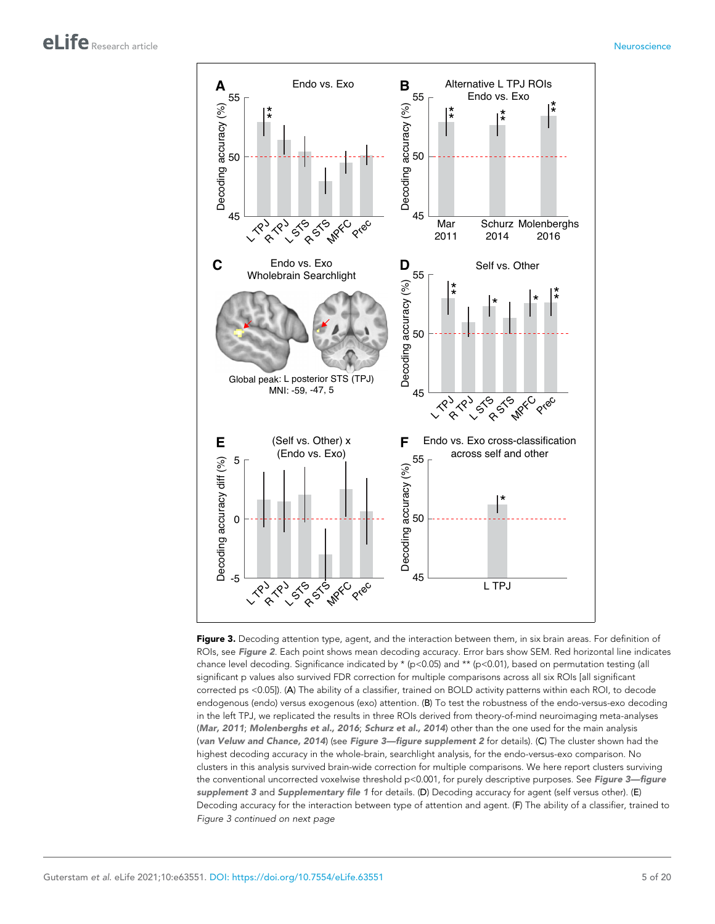

Figure 3. Decoding attention type, agent, and the interaction between them, in six brain areas. For definition of ROIs, see Figure 2. Each point shows mean decoding accuracy. Error bars show SEM. Red horizontal line indicates chance level decoding. Significance indicated by \* (p<0.05) and \*\* (p<0.01), based on permutation testing (all significant p values also survived FDR correction for multiple comparisons across all six ROIs [all significant corrected ps <0.05]). (A) The ability of a classifier, trained on BOLD activity patterns within each ROI, to decode endogenous (endo) versus exogenous (exo) attention. (B) To test the robustness of the endo-versus-exo decoding in the left TPJ, we replicated the results in three ROIs derived from theory-of-mind neuroimaging meta-analyses (Mar, 2011; Molenberghs et al., 2016; Schurz et al., 2014) other than the one used for the main analysis (van Veluw and Chance, 2014) (see Figure 3-figure supplement 2 for details). (C) The cluster shown had the highest decoding accuracy in the whole-brain, searchlight analysis, for the endo-versus-exo comparison. No clusters in this analysis survived brain-wide correction for multiple comparisons. We here report clusters surviving the conventional uncorrected voxelwise threshold p<0.001, for purely descriptive purposes. See Figure 3-figure supplement 3 and Supplementary file 1 for details. (D) Decoding accuracy for agent (self versus other). (E) Decoding accuracy for the interaction between type of attention and agent. (F) The ability of a classifier, trained to Figure 3 continued on next page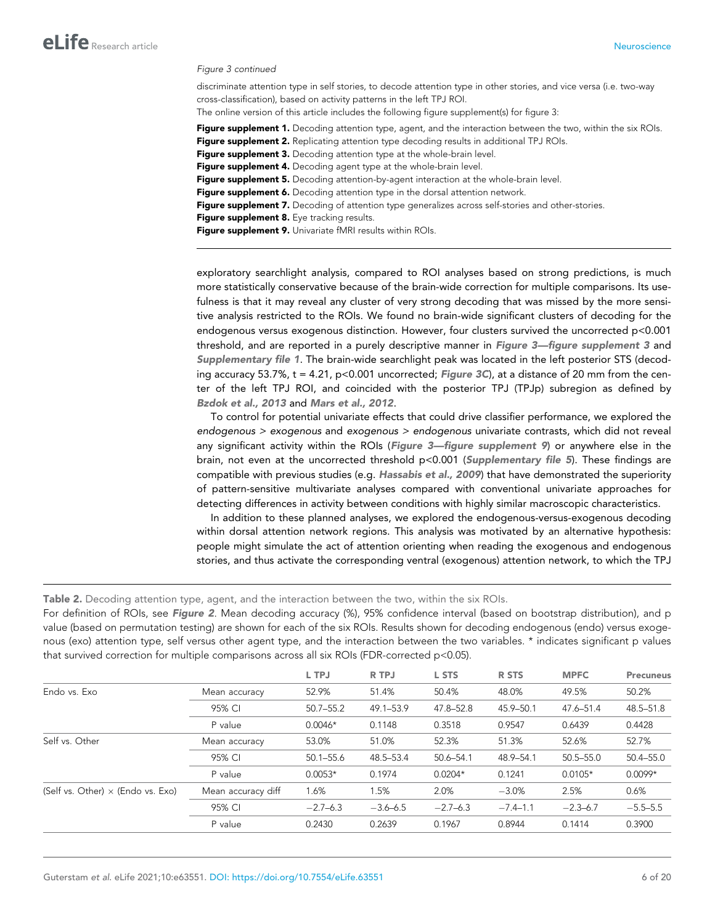#### Figure 3 continued

discriminate attention type in self stories, to decode attention type in other stories, and vice versa (i.e. two-way cross-classification), based on activity patterns in the left TPJ ROI.

The online version of this article includes the following figure supplement(s) for figure 3:

Figure supplement 1. Decoding attention type, agent, and the interaction between the two, within the six ROIs.

Figure supplement 2. Replicating attention type decoding results in additional TPJ ROIs.

Figure supplement 3. Decoding attention type at the whole-brain level.

Figure supplement 4. Decoding agent type at the whole-brain level.

Figure supplement 5. Decoding attention-by-agent interaction at the whole-brain level.

- Figure supplement 6. Decoding attention type in the dorsal attention network.
- Figure supplement 7. Decoding of attention type generalizes across self-stories and other-stories.

Figure supplement 8. Eye tracking results.

Figure supplement 9. Univariate fMRI results within ROIs.

exploratory searchlight analysis, compared to ROI analyses based on strong predictions, is much more statistically conservative because of the brain-wide correction for multiple comparisons. Its usefulness is that it may reveal any cluster of very strong decoding that was missed by the more sensitive analysis restricted to the ROIs. We found no brain-wide significant clusters of decoding for the endogenous versus exogenous distinction. However, four clusters survived the uncorrected p<0.001 threshold, and are reported in a purely descriptive manner in Figure 3—figure supplement 3 and Supplementary file 1. The brain-wide searchlight peak was located in the left posterior STS (decoding accuracy 53.7%,  $t = 4.21$ , p<0.001 uncorrected; Figure 3C), at a distance of 20 mm from the center of the left TPJ ROI, and coincided with the posterior TPJ (TPJp) subregion as defined by Bzdok et al., 2013 and Mars et al., 2012.

To control for potential univariate effects that could drive classifier performance, we explored the endogenous > exogenous and exogenous > endogenous univariate contrasts, which did not reveal any significant activity within the ROIs (Figure 3—figure supplement 9) or anywhere else in the brain, not even at the uncorrected threshold p<0.001 (Supplementary file 5). These findings are compatible with previous studies (e.g. Hassabis et al., 2009) that have demonstrated the superiority of pattern-sensitive multivariate analyses compared with conventional univariate approaches for detecting differences in activity between conditions with highly similar macroscopic characteristics.

In addition to these planned analyses, we explored the endogenous-versus-exogenous decoding within dorsal attention network regions. This analysis was motivated by an alternative hypothesis: people might simulate the act of attention orienting when reading the exogenous and endogenous stories, and thus activate the corresponding ventral (exogenous) attention network, to which the TPJ

#### Table 2. Decoding attention type, agent, and the interaction between the two, within the six ROIs.

For definition of ROIs, see **Figure 2**. Mean decoding accuracy (%), 95% confidence interval (based on bootstrap distribution), and p value (based on permutation testing) are shown for each of the six ROIs. Results shown for decoding endogenous (endo) versus exogenous (exo) attention type, self versus other agent type, and the interaction between the two variables. \* indicates significant p values that survived correction for multiple comparisons across all six ROIs (FDR-corrected p<0.05).

|                    | L TPJ         | R TPJ        | L STS      | R STS      | <b>MPFC</b>   | <b>Precuneus</b> |
|--------------------|---------------|--------------|------------|------------|---------------|------------------|
| Mean accuracy      | 52.9%         | 51.4%        | 50.4%      | 48.0%      | 49.5%         | 50.2%            |
| 95% CI             | $50.7 - 55.2$ | 49.1–53.9    | 47.8-52.8  | 45.9-50.1  | 47.6-51.4     | 48.5-51.8        |
| P value            | $0.0046*$     | 0.1148       | 0.3518     | 0.9547     | 0.6439        | 0.4428           |
| Mean accuracy      | 53.0%         | 51.0%        | 52.3%      | 51.3%      | 52.6%         | 52.7%            |
| 95% CI             | $50.1 - 55.6$ | 48.5-53.4    | 50.6-54.1  | 48.9-54.1  | $50.5 - 55.0$ | 50.4-55.0        |
| P value            | $0.0053*$     | 0.1974       | $0.0204*$  | 0.1241     | $0.0105*$     | $0.0099*$        |
| Mean accuracy diff | 1.6%          | 1.5%         | 2.0%       | $-3.0%$    | 2.5%          | 0.6%             |
| 95% CI             | $-2.7-6.3$    | $-3.6 - 6.5$ | $-2.7-6.3$ | $-7.4-1.1$ | $-2.3 - 6.7$  | $-5.5 - 5.5$     |
| P value            | 0.2430        | 0.2639       | 0.1967     | 0.8944     | 0.1414        | 0.3900           |
|                    |               |              |            |            |               |                  |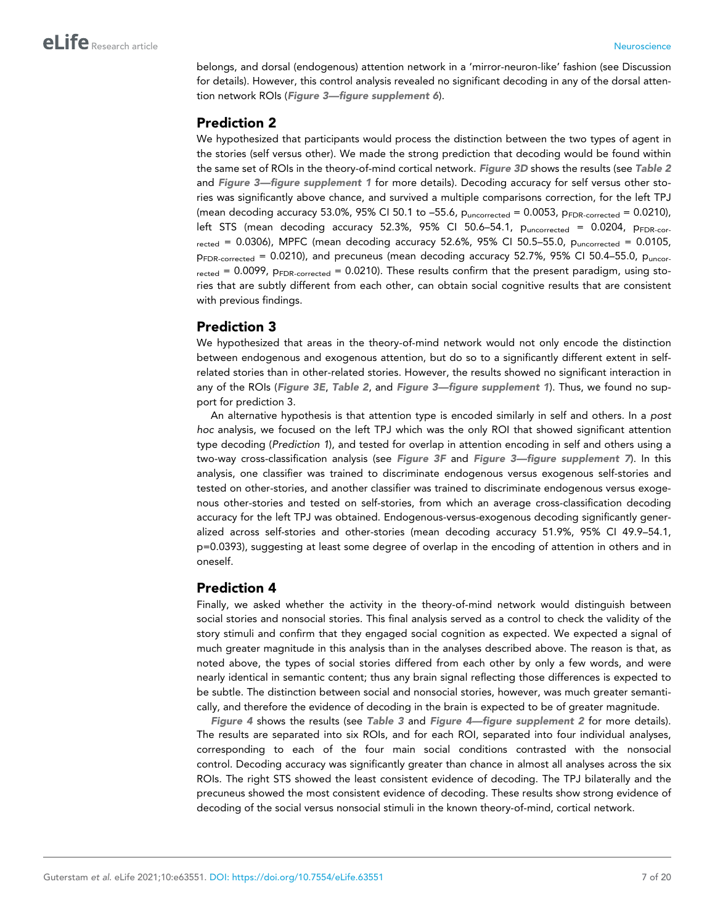belongs, and dorsal (endogenous) attention network in a 'mirror-neuron-like' fashion (see Discussion for details). However, this control analysis revealed no significant decoding in any of the dorsal attention network ROIs (Figure 3—figure supplement 6).

## Prediction 2

We hypothesized that participants would process the distinction between the two types of agent in the stories (self versus other). We made the strong prediction that decoding would be found within the same set of ROIs in the theory-of-mind cortical network. Figure 3D shows the results (see Table 2 and Figure 3—figure supplement 1 for more details). Decoding accuracy for self versus other stories was significantly above chance, and survived a multiple comparisons correction, for the left TPJ (mean decoding accuracy 53.0%, 95% CI 50.1 to  $-55.6$ ,  $p_{uncorrected} = 0.0053$ ,  $p_{FDR-corrected} = 0.0210$ ), left STS (mean decoding accuracy 52.3%, 95% CI 50.6-54.1,  $p_{uncorrected} = 0.0204$ ,  $p_{FDR-cor}$  $_{\text{rected}}$  = 0.0306), MPFC (mean decoding accuracy 52.6%, 95% CI 50.5–55.0,  $p_{\text{uncorrected}}$  = 0.0105, pFDR-corrected = 0.0210), and precuneus (mean decoding accuracy 52.7%, 95% CI 50.4–55.0, puncor- $_{\rm{reted}}$  = 0.0099,  $p_{\rm{FDR-corrected}}$  = 0.0210). These results confirm that the present paradigm, using stories that are subtly different from each other, can obtain social cognitive results that are consistent with previous findings.

## Prediction 3

We hypothesized that areas in the theory-of-mind network would not only encode the distinction between endogenous and exogenous attention, but do so to a significantly different extent in selfrelated stories than in other-related stories. However, the results showed no significant interaction in any of the ROIs (Figure 3E, Table 2, and Figure 3—figure supplement 1). Thus, we found no support for prediction 3.

An alternative hypothesis is that attention type is encoded similarly in self and others. In a post hoc analysis, we focused on the left TPJ which was the only ROI that showed significant attention type decoding (Prediction 1), and tested for overlap in attention encoding in self and others using a two-way cross-classification analysis (see Figure 3F and Figure 3—figure supplement 7). In this analysis, one classifier was trained to discriminate endogenous versus exogenous self-stories and tested on other-stories, and another classifier was trained to discriminate endogenous versus exogenous other-stories and tested on self-stories, from which an average cross-classification decoding accuracy for the left TPJ was obtained. Endogenous-versus-exogenous decoding significantly generalized across self-stories and other-stories (mean decoding accuracy 51.9%, 95% CI 49.9–54.1, p=0.0393), suggesting at least some degree of overlap in the encoding of attention in others and in oneself.

### Prediction 4

Finally, we asked whether the activity in the theory-of-mind network would distinguish between social stories and nonsocial stories. This final analysis served as a control to check the validity of the story stimuli and confirm that they engaged social cognition as expected. We expected a signal of much greater magnitude in this analysis than in the analyses described above. The reason is that, as noted above, the types of social stories differed from each other by only a few words, and were nearly identical in semantic content; thus any brain signal reflecting those differences is expected to be subtle. The distinction between social and nonsocial stories, however, was much greater semantically, and therefore the evidence of decoding in the brain is expected to be of greater magnitude.

Figure 4 shows the results (see Table 3 and Figure 4—figure supplement 2 for more details). The results are separated into six ROIs, and for each ROI, separated into four individual analyses, corresponding to each of the four main social conditions contrasted with the nonsocial control. Decoding accuracy was significantly greater than chance in almost all analyses across the six ROIs. The right STS showed the least consistent evidence of decoding. The TPJ bilaterally and the precuneus showed the most consistent evidence of decoding. These results show strong evidence of decoding of the social versus nonsocial stimuli in the known theory-of-mind, cortical network.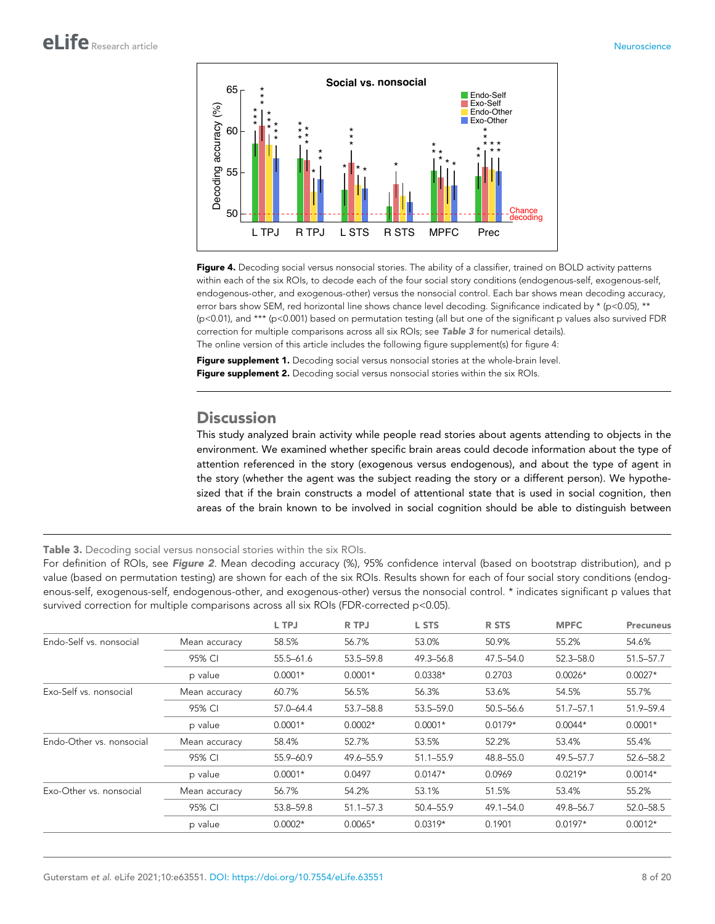

Figure 4. Decoding social versus nonsocial stories. The ability of a classifier, trained on BOLD activity patterns within each of the six ROIs, to decode each of the four social story conditions (endogenous-self, exogenous-self, endogenous-other, and exogenous-other) versus the nonsocial control. Each bar shows mean decoding accuracy, error bars show SEM, red horizontal line shows chance level decoding. Significance indicated by \* (p<0.05), \*\* (p<0.01), and \*\*\* (p<0.001) based on permutation testing (all but one of the significant p values also survived FDR correction for multiple comparisons across all six ROIs; see Table 3 for numerical details). The online version of this article includes the following figure supplement(s) for figure 4:

Figure supplement 1. Decoding social versus nonsocial stories at the whole-brain level. Figure supplement 2. Decoding social versus nonsocial stories within the six ROIs.

## **Discussion**

This study analyzed brain activity while people read stories about agents attending to objects in the environment. We examined whether specific brain areas could decode information about the type of attention referenced in the story (exogenous versus endogenous), and about the type of agent in the story (whether the agent was the subject reading the story or a different person). We hypothesized that if the brain constructs a model of attentional state that is used in social cognition, then areas of the brain known to be involved in social cognition should be able to distinguish between

#### Table 3. Decoding social versus nonsocial stories within the six ROIs.

For definition of ROIs, see Figure 2. Mean decoding accuracy (%), 95% confidence interval (based on bootstrap distribution), and p value (based on permutation testing) are shown for each of the six ROIs. Results shown for each of four social story conditions (endogenous-self, exogenous-self, endogenous-other, and exogenous-other) versus the nonsocial control. \* indicates significant p values that survived correction for multiple comparisons across all six ROIs (FDR-corrected p<0.05).

|                          |               | L TPJ     | R TPJ         | L STS         | <b>RSTS</b>   | <b>MPFC</b>   | <b>Precuneus</b> |
|--------------------------|---------------|-----------|---------------|---------------|---------------|---------------|------------------|
| Endo-Self vs. nonsocial  | Mean accuracy | 58.5%     | 56.7%         | 53.0%         | 50.9%         | 55.2%         | 54.6%            |
|                          | 95% CI        | 55.5-61.6 | 53.5 - 59.8   | 49.3 - 56.8   | 47.5-54.0     | 52.3-58.0     | $51.5 - 57.7$    |
|                          | p value       | $0.0001*$ | $0.0001*$     | $0.0338*$     | 0.2703        | $0.0026*$     | $0.0027*$        |
| Exo-Self vs. nonsocial   | Mean accuracy | 60.7%     | 56.5%         | 56.3%         | 53.6%         | 54.5%         | 55.7%            |
|                          | 95% CI        | 57.0-64.4 | 53.7-58.8     | 53.5 - 59.0   | $50.5 - 56.6$ | $51.7 - 57.1$ | 51.9-59.4        |
|                          | p value       | $0.0001*$ | $0.0002*$     | $0.0001*$     | $0.0179*$     | $0.0044*$     | $0.0001*$        |
| Endo-Other vs. nonsocial | Mean accuracy | 58.4%     | 52.7%         | 53.5%         | 52.2%         | 53.4%         | 55.4%            |
|                          | 95% CI        | 55.9-60.9 | 49.6-55.9     | $51.1 - 55.9$ | 48.8-55.0     | 49.5 - 57.7   | 52.6-58.2        |
|                          | p value       | $0.0001*$ | 0.0497        | $0.0147*$     | 0.0969        | $0.0219*$     | $0.0014*$        |
| Exo-Other vs. nonsocial  | Mean accuracy | 56.7%     | 54.2%         | 53.1%         | 51.5%         | 53.4%         | 55.2%            |
|                          | 95% CI        | 53.8-59.8 | $51.1 - 57.3$ | 50.4 - 55.9   | 49.1-54.0     | 49.8-56.7     | 52.0-58.5        |
|                          | p value       | $0.0002*$ | $0.0065*$     | $0.0319*$     | 0.1901        | $0.0197*$     | $0.0012*$        |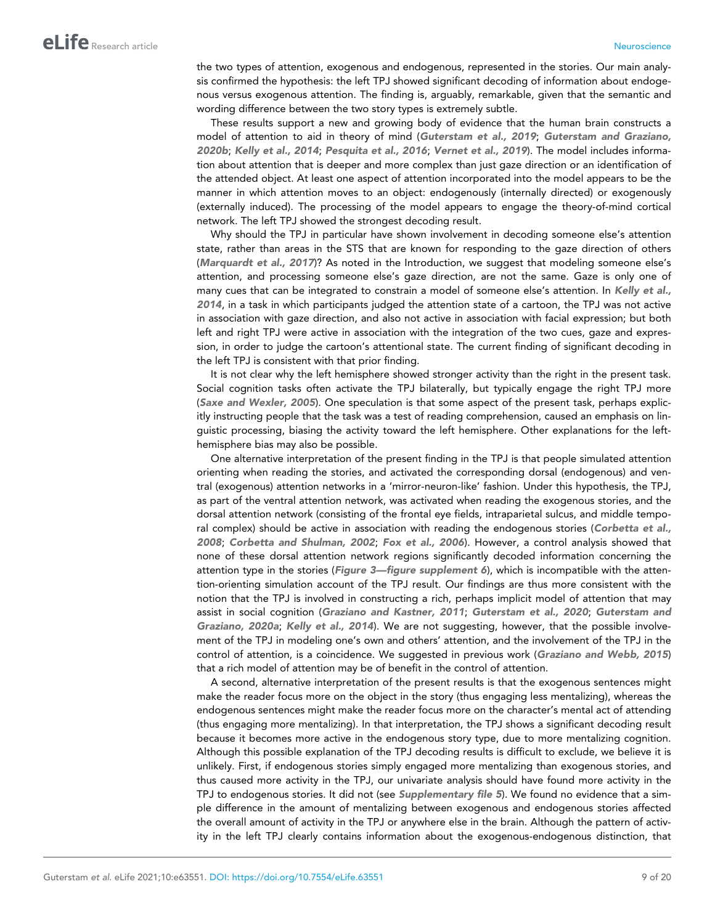the two types of attention, exogenous and endogenous, represented in the stories. Our main analysis confirmed the hypothesis: the left TPJ showed significant decoding of information about endogenous versus exogenous attention. The finding is, arguably, remarkable, given that the semantic and wording difference between the two story types is extremely subtle.

These results support a new and growing body of evidence that the human brain constructs a model of attention to aid in theory of mind (Guterstam et al., 2019; Guterstam and Graziano, 2020b; Kelly et al., 2014; Pesquita et al., 2016; Vernet et al., 2019). The model includes information about attention that is deeper and more complex than just gaze direction or an identification of the attended object. At least one aspect of attention incorporated into the model appears to be the manner in which attention moves to an object: endogenously (internally directed) or exogenously (externally induced). The processing of the model appears to engage the theory-of-mind cortical network. The left TPJ showed the strongest decoding result.

Why should the TPJ in particular have shown involvement in decoding someone else's attention state, rather than areas in the STS that are known for responding to the gaze direction of others (Marquardt et al., 2017)? As noted in the Introduction, we suggest that modeling someone else's attention, and processing someone else's gaze direction, are not the same. Gaze is only one of many cues that can be integrated to constrain a model of someone else's attention. In Kelly et al., 2014, in a task in which participants judged the attention state of a cartoon, the TPJ was not active in association with gaze direction, and also not active in association with facial expression; but both left and right TPJ were active in association with the integration of the two cues, gaze and expression, in order to judge the cartoon's attentional state. The current finding of significant decoding in the left TPJ is consistent with that prior finding.

It is not clear why the left hemisphere showed stronger activity than the right in the present task. Social cognition tasks often activate the TPJ bilaterally, but typically engage the right TPJ more (Saxe and Wexler, 2005). One speculation is that some aspect of the present task, perhaps explicitly instructing people that the task was a test of reading comprehension, caused an emphasis on linguistic processing, biasing the activity toward the left hemisphere. Other explanations for the lefthemisphere bias may also be possible.

One alternative interpretation of the present finding in the TPJ is that people simulated attention orienting when reading the stories, and activated the corresponding dorsal (endogenous) and ventral (exogenous) attention networks in a 'mirror-neuron-like' fashion. Under this hypothesis, the TPJ, as part of the ventral attention network, was activated when reading the exogenous stories, and the dorsal attention network (consisting of the frontal eye fields, intraparietal sulcus, and middle temporal complex) should be active in association with reading the endogenous stories (Corbetta et al., 2008; Corbetta and Shulman, 2002; Fox et al., 2006). However, a control analysis showed that none of these dorsal attention network regions significantly decoded information concerning the attention type in the stories (Figure 3-figure supplement 6), which is incompatible with the attention-orienting simulation account of the TPJ result. Our findings are thus more consistent with the notion that the TPJ is involved in constructing a rich, perhaps implicit model of attention that may assist in social cognition (Graziano and Kastner, 2011; Guterstam et al., 2020; Guterstam and Graziano, 2020a; Kelly et al., 2014). We are not suggesting, however, that the possible involvement of the TPJ in modeling one's own and others' attention, and the involvement of the TPJ in the control of attention, is a coincidence. We suggested in previous work (Graziano and Webb, 2015) that a rich model of attention may be of benefit in the control of attention.

A second, alternative interpretation of the present results is that the exogenous sentences might make the reader focus more on the object in the story (thus engaging less mentalizing), whereas the endogenous sentences might make the reader focus more on the character's mental act of attending (thus engaging more mentalizing). In that interpretation, the TPJ shows a significant decoding result because it becomes more active in the endogenous story type, due to more mentalizing cognition. Although this possible explanation of the TPJ decoding results is difficult to exclude, we believe it is unlikely. First, if endogenous stories simply engaged more mentalizing than exogenous stories, and thus caused more activity in the TPJ, our univariate analysis should have found more activity in the TPJ to endogenous stories. It did not (see Supplementary file 5). We found no evidence that a simple difference in the amount of mentalizing between exogenous and endogenous stories affected the overall amount of activity in the TPJ or anywhere else in the brain. Although the pattern of activity in the left TPJ clearly contains information about the exogenous-endogenous distinction, that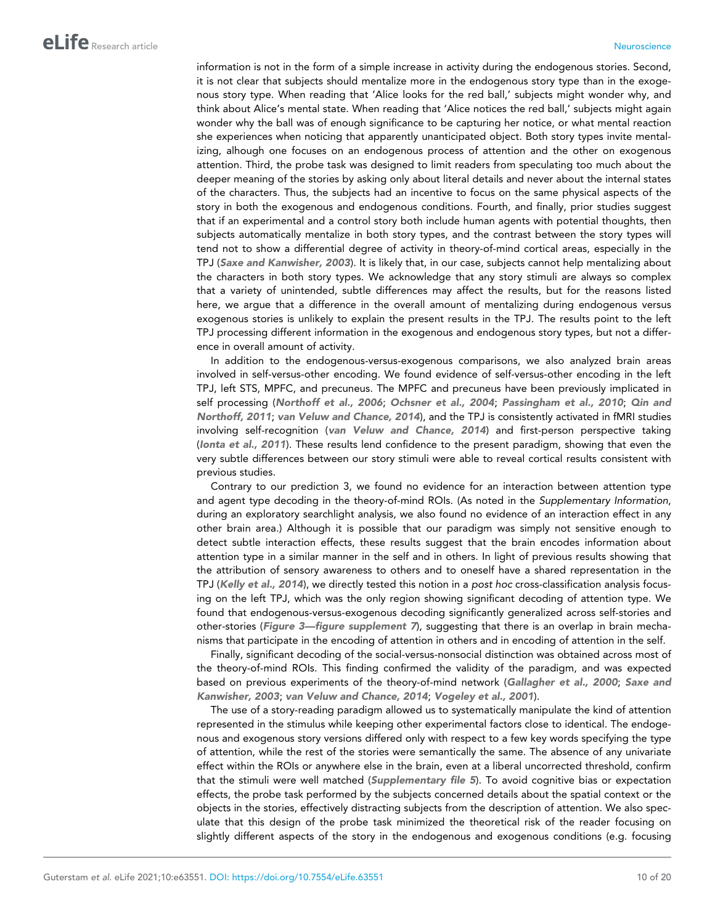information is not in the form of a simple increase in activity during the endogenous stories. Second, it is not clear that subjects should mentalize more in the endogenous story type than in the exogenous story type. When reading that 'Alice looks for the red ball,' subjects might wonder why, and think about Alice's mental state. When reading that 'Alice notices the red ball,' subjects might again wonder why the ball was of enough significance to be capturing her notice, or what mental reaction she experiences when noticing that apparently unanticipated object. Both story types invite mentalizing, alhough one focuses on an endogenous process of attention and the other on exogenous attention. Third, the probe task was designed to limit readers from speculating too much about the deeper meaning of the stories by asking only about literal details and never about the internal states of the characters. Thus, the subjects had an incentive to focus on the same physical aspects of the story in both the exogenous and endogenous conditions. Fourth, and finally, prior studies suggest that if an experimental and a control story both include human agents with potential thoughts, then subjects automatically mentalize in both story types, and the contrast between the story types will tend not to show a differential degree of activity in theory-of-mind cortical areas, especially in the TPJ (Saxe and Kanwisher, 2003). It is likely that, in our case, subjects cannot help mentalizing about the characters in both story types. We acknowledge that any story stimuli are always so complex that a variety of unintended, subtle differences may affect the results, but for the reasons listed here, we argue that a difference in the overall amount of mentalizing during endogenous versus exogenous stories is unlikely to explain the present results in the TPJ. The results point to the left TPJ processing different information in the exogenous and endogenous story types, but not a difference in overall amount of activity.

In addition to the endogenous-versus-exogenous comparisons, we also analyzed brain areas involved in self-versus-other encoding. We found evidence of self-versus-other encoding in the left TPJ, left STS, MPFC, and precuneus. The MPFC and precuneus have been previously implicated in self processing (Northoff et al., 2006; Ochsner et al., 2004; Passingham et al., 2010; Qin and Northoff, 2011; van Veluw and Chance, 2014), and the TPJ is consistently activated in fMRI studies involving self-recognition (van Veluw and Chance, 2014) and first-person perspective taking (Ionta et al., 2011). These results lend confidence to the present paradigm, showing that even the very subtle differences between our story stimuli were able to reveal cortical results consistent with previous studies.

Contrary to our prediction 3, we found no evidence for an interaction between attention type and agent type decoding in the theory-of-mind ROIs. (As noted in the Supplementary Information, during an exploratory searchlight analysis, we also found no evidence of an interaction effect in any other brain area.) Although it is possible that our paradigm was simply not sensitive enough to detect subtle interaction effects, these results suggest that the brain encodes information about attention type in a similar manner in the self and in others. In light of previous results showing that the attribution of sensory awareness to others and to oneself have a shared representation in the TPJ (Kelly et al., 2014), we directly tested this notion in a post hoc cross-classification analysis focusing on the left TPJ, which was the only region showing significant decoding of attention type. We found that endogenous-versus-exogenous decoding significantly generalized across self-stories and other-stories (Figure 3—figure supplement 7), suggesting that there is an overlap in brain mechanisms that participate in the encoding of attention in others and in encoding of attention in the self.

Finally, significant decoding of the social-versus-nonsocial distinction was obtained across most of the theory-of-mind ROIs. This finding confirmed the validity of the paradigm, and was expected based on previous experiments of the theory-of-mind network (Gallagher et al., 2000; Saxe and Kanwisher, 2003; van Veluw and Chance, 2014; Vogeley et al., 2001).

The use of a story-reading paradigm allowed us to systematically manipulate the kind of attention represented in the stimulus while keeping other experimental factors close to identical. The endogenous and exogenous story versions differed only with respect to a few key words specifying the type of attention, while the rest of the stories were semantically the same. The absence of any univariate effect within the ROIs or anywhere else in the brain, even at a liberal uncorrected threshold, confirm that the stimuli were well matched (Supplementary file 5). To avoid cognitive bias or expectation effects, the probe task performed by the subjects concerned details about the spatial context or the objects in the stories, effectively distracting subjects from the description of attention. We also speculate that this design of the probe task minimized the theoretical risk of the reader focusing on slightly different aspects of the story in the endogenous and exogenous conditions (e.g. focusing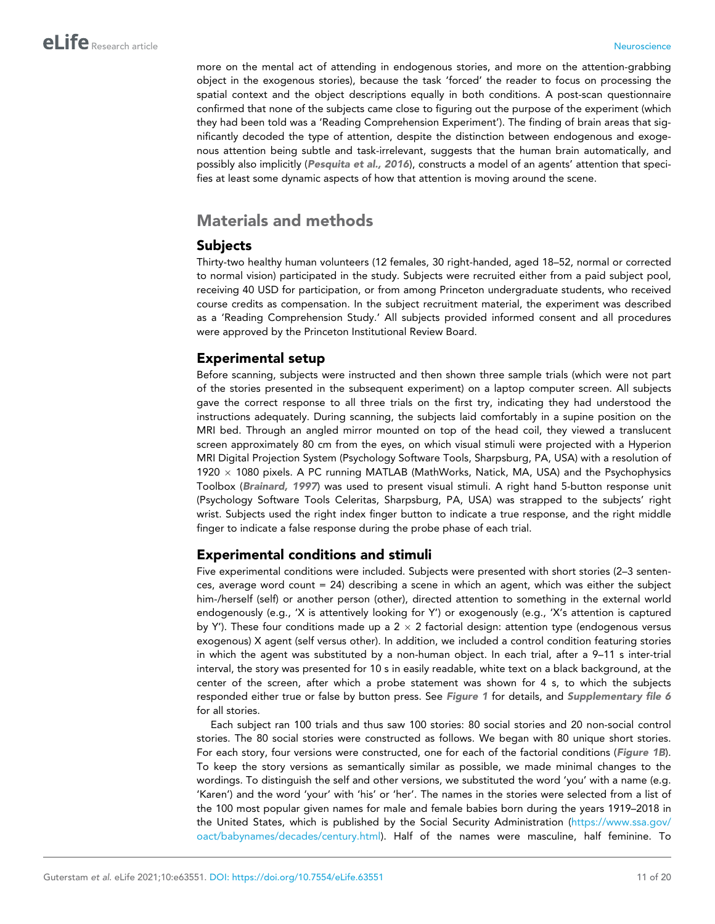more on the mental act of attending in endogenous stories, and more on the attention-grabbing object in the exogenous stories), because the task 'forced' the reader to focus on processing the spatial context and the object descriptions equally in both conditions. A post-scan questionnaire confirmed that none of the subjects came close to figuring out the purpose of the experiment (which they had been told was a 'Reading Comprehension Experiment'). The finding of brain areas that significantly decoded the type of attention, despite the distinction between endogenous and exogenous attention being subtle and task-irrelevant, suggests that the human brain automatically, and possibly also implicitly (Pesquita et al., 2016), constructs a model of an agents' attention that specifies at least some dynamic aspects of how that attention is moving around the scene.

## Materials and methods

## Subjects

Thirty-two healthy human volunteers (12 females, 30 right-handed, aged 18–52, normal or corrected to normal vision) participated in the study. Subjects were recruited either from a paid subject pool, receiving 40 USD for participation, or from among Princeton undergraduate students, who received course credits as compensation. In the subject recruitment material, the experiment was described as a 'Reading Comprehension Study.' All subjects provided informed consent and all procedures were approved by the Princeton Institutional Review Board.

## Experimental setup

Before scanning, subjects were instructed and then shown three sample trials (which were not part of the stories presented in the subsequent experiment) on a laptop computer screen. All subjects gave the correct response to all three trials on the first try, indicating they had understood the instructions adequately. During scanning, the subjects laid comfortably in a supine position on the MRI bed. Through an angled mirror mounted on top of the head coil, they viewed a translucent screen approximately 80 cm from the eyes, on which visual stimuli were projected with a Hyperion MRI Digital Projection System (Psychology Software Tools, Sharpsburg, PA, USA) with a resolution of 1920  $\times$  1080 pixels. A PC running MATLAB (MathWorks, Natick, MA, USA) and the Psychophysics Toolbox (Brainard, 1997) was used to present visual stimuli. A right hand 5-button response unit (Psychology Software Tools Celeritas, Sharpsburg, PA, USA) was strapped to the subjects' right wrist. Subjects used the right index finger button to indicate a true response, and the right middle finger to indicate a false response during the probe phase of each trial.

## Experimental conditions and stimuli

Five experimental conditions were included. Subjects were presented with short stories (2–3 sentences, average word count = 24) describing a scene in which an agent, which was either the subject him-/herself (self) or another person (other), directed attention to something in the external world endogenously (e.g., 'X is attentively looking for Y') or exogenously (e.g., 'X's attention is captured by Y'). These four conditions made up a  $2 \times 2$  factorial design: attention type (endogenous versus exogenous) X agent (self versus other). In addition, we included a control condition featuring stories in which the agent was substituted by a non-human object. In each trial, after a 9–11 s inter-trial interval, the story was presented for 10 s in easily readable, white text on a black background, at the center of the screen, after which a probe statement was shown for 4 s, to which the subjects responded either true or false by button press. See Figure 1 for details, and Supplementary file 6 for all stories.

Each subject ran 100 trials and thus saw 100 stories: 80 social stories and 20 non-social control stories. The 80 social stories were constructed as follows. We began with 80 unique short stories. For each story, four versions were constructed, one for each of the factorial conditions (Figure 1B). To keep the story versions as semantically similar as possible, we made minimal changes to the wordings. To distinguish the self and other versions, we substituted the word 'you' with a name (e.g. 'Karen') and the word 'your' with 'his' or 'her'. The names in the stories were selected from a list of the 100 most popular given names for male and female babies born during the years 1919–2018 in the United States, which is published by the Social Security Administration (https://www.ssa.gov/ oact/babynames/decades/century.html). Half of the names were masculine, half feminine. To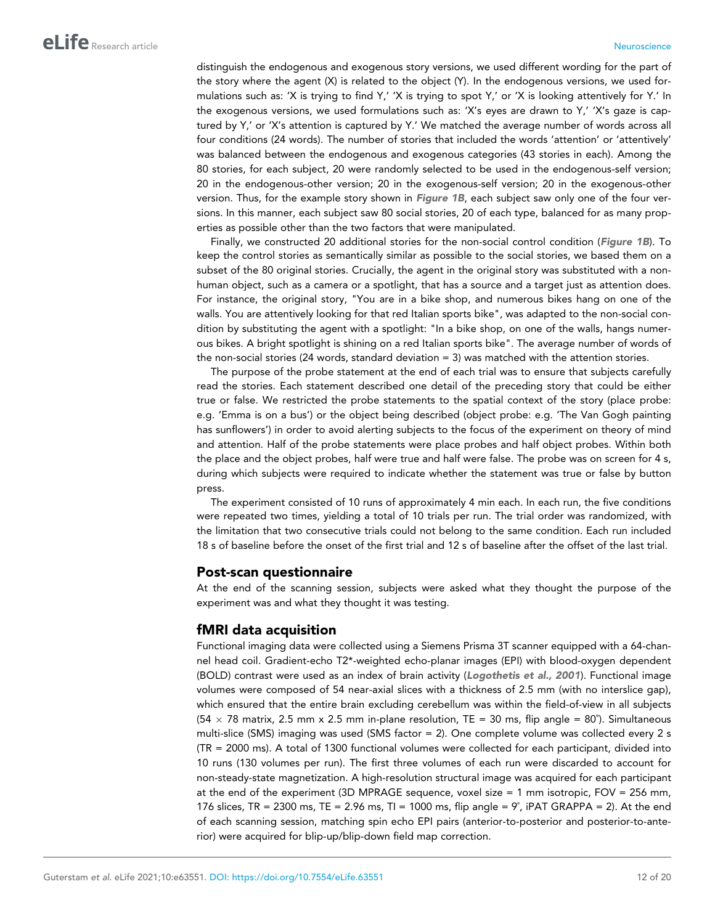distinguish the endogenous and exogenous story versions, we used different wording for the part of the story where the agent (X) is related to the object (Y). In the endogenous versions, we used formulations such as: 'X is trying to find Y,' 'X is trying to spot Y,' or 'X is looking attentively for Y.' In the exogenous versions, we used formulations such as: 'X's eyes are drawn to Y,' 'X's gaze is captured by Y,' or 'X's attention is captured by Y.' We matched the average number of words across all four conditions (24 words). The number of stories that included the words 'attention' or 'attentively' was balanced between the endogenous and exogenous categories (43 stories in each). Among the 80 stories, for each subject, 20 were randomly selected to be used in the endogenous-self version; 20 in the endogenous-other version; 20 in the exogenous-self version; 20 in the exogenous-other version. Thus, for the example story shown in Figure 1B, each subject saw only one of the four versions. In this manner, each subject saw 80 social stories, 20 of each type, balanced for as many properties as possible other than the two factors that were manipulated.

Finally, we constructed 20 additional stories for the non-social control condition (Figure 1B). To keep the control stories as semantically similar as possible to the social stories, we based them on a subset of the 80 original stories. Crucially, the agent in the original story was substituted with a nonhuman object, such as a camera or a spotlight, that has a source and a target just as attention does. For instance, the original story, "You are in a bike shop, and numerous bikes hang on one of the walls. You are attentively looking for that red Italian sports bike", was adapted to the non-social condition by substituting the agent with a spotlight: "In a bike shop, on one of the walls, hangs numerous bikes. A bright spotlight is shining on a red Italian sports bike". The average number of words of the non-social stories (24 words, standard deviation  $=$  3) was matched with the attention stories.

The purpose of the probe statement at the end of each trial was to ensure that subjects carefully read the stories. Each statement described one detail of the preceding story that could be either true or false. We restricted the probe statements to the spatial context of the story (place probe: e.g. 'Emma is on a bus') or the object being described (object probe: e.g. 'The Van Gogh painting has sunflowers') in order to avoid alerting subjects to the focus of the experiment on theory of mind and attention. Half of the probe statements were place probes and half object probes. Within both the place and the object probes, half were true and half were false. The probe was on screen for 4 s, during which subjects were required to indicate whether the statement was true or false by button press.

The experiment consisted of 10 runs of approximately 4 min each. In each run, the five conditions were repeated two times, yielding a total of 10 trials per run. The trial order was randomized, with the limitation that two consecutive trials could not belong to the same condition. Each run included 18 s of baseline before the onset of the first trial and 12 s of baseline after the offset of the last trial.

#### Post-scan questionnaire

At the end of the scanning session, subjects were asked what they thought the purpose of the experiment was and what they thought it was testing.

#### fMRI data acquisition

Functional imaging data were collected using a Siemens Prisma 3T scanner equipped with a 64-channel head coil. Gradient-echo T2\*-weighted echo-planar images (EPI) with blood-oxygen dependent (BOLD) contrast were used as an index of brain activity (Logothetis et al., 2001). Functional image volumes were composed of 54 near-axial slices with a thickness of 2.5 mm (with no interslice gap), which ensured that the entire brain excluding cerebellum was within the field-of-view in all subjects  $(54 \times 78$  matrix, 2.5 mm x 2.5 mm in-plane resolution, TE = 30 ms, flip angle = 80°). Simultaneous multi-slice (SMS) imaging was used (SMS factor = 2). One complete volume was collected every 2 s (TR = 2000 ms). A total of 1300 functional volumes were collected for each participant, divided into 10 runs (130 volumes per run). The first three volumes of each run were discarded to account for non-steady-state magnetization. A high-resolution structural image was acquired for each participant at the end of the experiment (3D MPRAGE sequence, voxel size = 1 mm isotropic, FOV = 256 mm, 176 slices, TR = 2300 ms, TE = 2.96 ms, TI = 1000 ms, flip angle =  $9^\circ$ , iPAT GRAPPA = 2). At the end of each scanning session, matching spin echo EPI pairs (anterior-to-posterior and posterior-to-anterior) were acquired for blip-up/blip-down field map correction.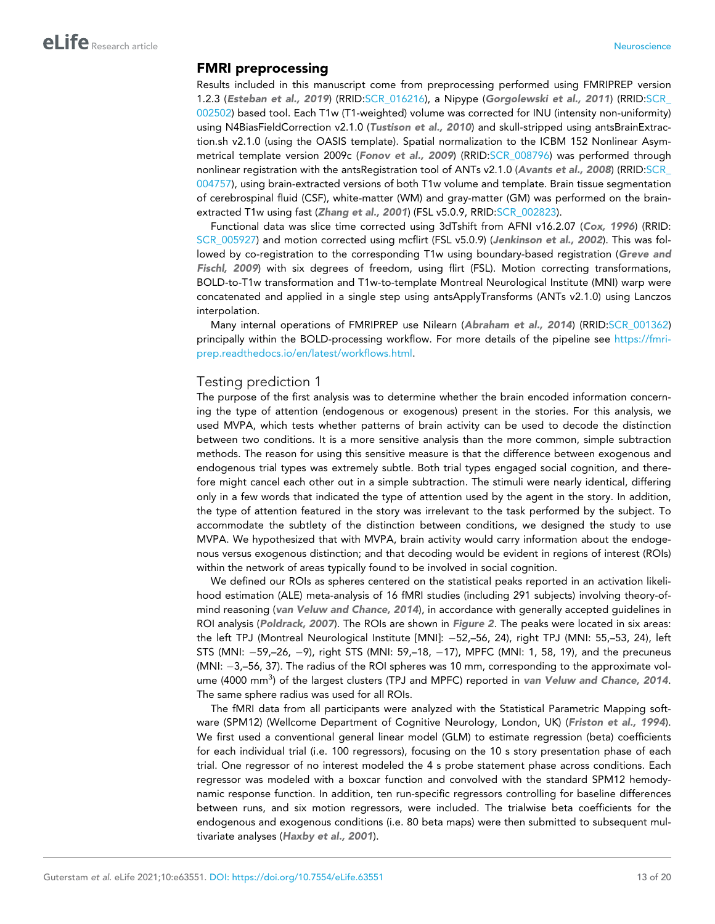### FMRI preprocessing

Results included in this manuscript come from preprocessing performed using FMRIPREP version 1.2.3 (Esteban et al., 2019) (RRID:SCR\_016216), a Nipype (Gorgolewski et al., 2011) (RRID:SCR\_ 002502) based tool. Each T1w (T1-weighted) volume was corrected for INU (intensity non-uniformity) using N4BiasFieldCorrection v2.1.0 (Tustison et al., 2010) and skull-stripped using antsBrainExtraction.sh v2.1.0 (using the OASIS template). Spatial normalization to the ICBM 152 Nonlinear Asymmetrical template version 2009c (Fonov et al., 2009) (RRID:SCR 008796) was performed through nonlinear registration with the antsRegistration tool of ANTs v2.1.0 (Avants et al., 2008) (RRID:SCR 004757), using brain-extracted versions of both T1w volume and template. Brain tissue segmentation of cerebrospinal fluid (CSF), white-matter (WM) and gray-matter (GM) was performed on the brainextracted T1w using fast (Zhang et al., 2001) (FSL v5.0.9, RRID:SCR\_002823).

Functional data was slice time corrected using 3dTshift from AFNI v16.2.07 (Cox, 1996) (RRID: SCR\_005927) and motion corrected using mcflirt (FSL v5.0.9) (Jenkinson et al., 2002). This was followed by co-registration to the corresponding T1w using boundary-based registration (Greve and Fischl, 2009) with six degrees of freedom, using flirt (FSL). Motion correcting transformations, BOLD-to-T1w transformation and T1w-to-template Montreal Neurological Institute (MNI) warp were concatenated and applied in a single step using antsApplyTransforms (ANTs v2.1.0) using Lanczos interpolation.

Many internal operations of FMRIPREP use Nilearn (Abraham et al., 2014) (RRID:SCR\_001362) principally within the BOLD-processing workflow. For more details of the pipeline see https://fmriprep.readthedocs.io/en/latest/workflows.html.

#### Testing prediction 1

The purpose of the first analysis was to determine whether the brain encoded information concerning the type of attention (endogenous or exogenous) present in the stories. For this analysis, we used MVPA, which tests whether patterns of brain activity can be used to decode the distinction between two conditions. It is a more sensitive analysis than the more common, simple subtraction methods. The reason for using this sensitive measure is that the difference between exogenous and endogenous trial types was extremely subtle. Both trial types engaged social cognition, and therefore might cancel each other out in a simple subtraction. The stimuli were nearly identical, differing only in a few words that indicated the type of attention used by the agent in the story. In addition, the type of attention featured in the story was irrelevant to the task performed by the subject. To accommodate the subtlety of the distinction between conditions, we designed the study to use MVPA. We hypothesized that with MVPA, brain activity would carry information about the endogenous versus exogenous distinction; and that decoding would be evident in regions of interest (ROIs) within the network of areas typically found to be involved in social cognition.

We defined our ROIs as spheres centered on the statistical peaks reported in an activation likelihood estimation (ALE) meta-analysis of 16 fMRI studies (including 291 subjects) involving theory-ofmind reasoning (van Veluw and Chance, 2014), in accordance with generally accepted guidelines in ROI analysis (Poldrack, 2007). The ROIs are shown in Figure 2. The peaks were located in six areas: the left TPJ (Montreal Neurological Institute [MNI]: -52,-56, 24), right TPJ (MNI: 55,-53, 24), left STS (MNI:  $-59,-26$ ,  $-9$ ), right STS (MNI:  $59,-18$ ,  $-17$ ), MPFC (MNI: 1, 58, 19), and the precuneus (MNI: -3,-56, 37). The radius of the ROI spheres was 10 mm, corresponding to the approximate volume (4000 mm<sup>3</sup>) of the largest clusters (TPJ and MPFC) reported in van Veluw and Chance, 2014. The same sphere radius was used for all ROIs.

The fMRI data from all participants were analyzed with the Statistical Parametric Mapping software (SPM12) (Wellcome Department of Cognitive Neurology, London, UK) (Friston et al., 1994). We first used a conventional general linear model (GLM) to estimate regression (beta) coefficients for each individual trial (i.e. 100 regressors), focusing on the 10 s story presentation phase of each trial. One regressor of no interest modeled the 4 s probe statement phase across conditions. Each regressor was modeled with a boxcar function and convolved with the standard SPM12 hemodynamic response function. In addition, ten run-specific regressors controlling for baseline differences between runs, and six motion regressors, were included. The trialwise beta coefficients for the endogenous and exogenous conditions (i.e. 80 beta maps) were then submitted to subsequent multivariate analyses (Haxby et al., 2001).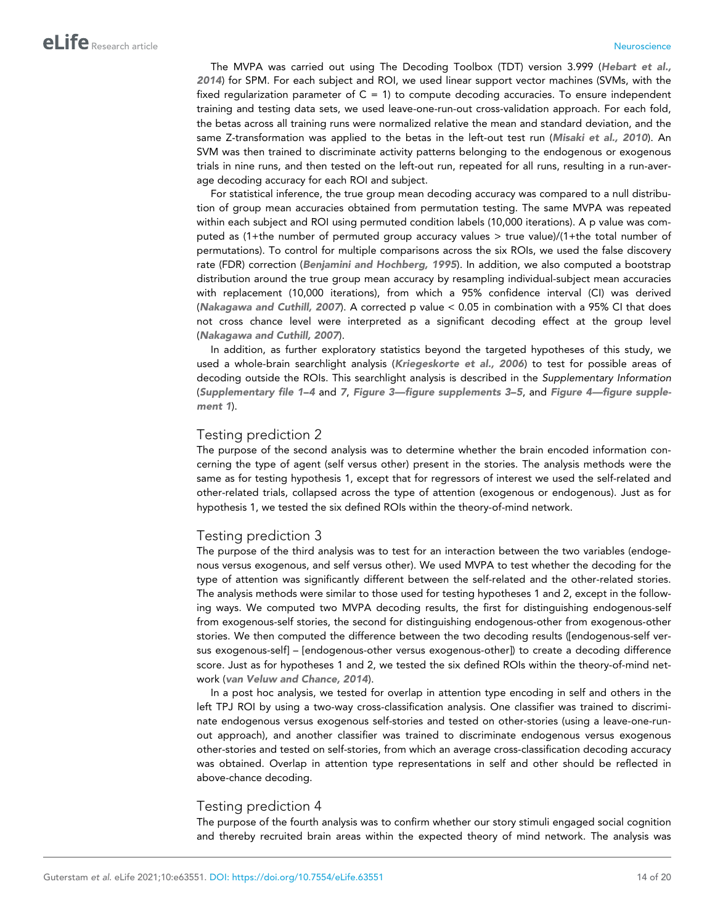The MVPA was carried out using The Decoding Toolbox (TDT) version 3.999 (Hebart et al., 2014) for SPM. For each subject and ROI, we used linear support vector machines (SVMs, with the fixed regularization parameter of  $C = 1$ ) to compute decoding accuracies. To ensure independent training and testing data sets, we used leave-one-run-out cross-validation approach. For each fold, the betas across all training runs were normalized relative the mean and standard deviation, and the same Z-transformation was applied to the betas in the left-out test run (Misaki et al., 2010). An SVM was then trained to discriminate activity patterns belonging to the endogenous or exogenous trials in nine runs, and then tested on the left-out run, repeated for all runs, resulting in a run-average decoding accuracy for each ROI and subject.

For statistical inference, the true group mean decoding accuracy was compared to a null distribution of group mean accuracies obtained from permutation testing. The same MVPA was repeated within each subject and ROI using permuted condition labels (10,000 iterations). A p value was computed as (1+the number of permuted group accuracy values > true value)/(1+the total number of permutations). To control for multiple comparisons across the six ROIs, we used the false discovery rate (FDR) correction (Benjamini and Hochberg, 1995). In addition, we also computed a bootstrap distribution around the true group mean accuracy by resampling individual-subject mean accuracies with replacement (10,000 iterations), from which a 95% confidence interval (CI) was derived (Nakagawa and Cuthill, 2007). A corrected p value < 0.05 in combination with a 95% CI that does not cross chance level were interpreted as a significant decoding effect at the group level (Nakagawa and Cuthill, 2007).

In addition, as further exploratory statistics beyond the targeted hypotheses of this study, we used a whole-brain searchlight analysis (Kriegeskorte et al., 2006) to test for possible areas of decoding outside the ROIs. This searchlight analysis is described in the Supplementary Information (Supplementary file 1–4 and 7, Figure 3—figure supplements 3–5, and Figure 4—figure supplement 1).

## Testing prediction 2

The purpose of the second analysis was to determine whether the brain encoded information concerning the type of agent (self versus other) present in the stories. The analysis methods were the same as for testing hypothesis 1, except that for regressors of interest we used the self-related and other-related trials, collapsed across the type of attention (exogenous or endogenous). Just as for hypothesis 1, we tested the six defined ROIs within the theory-of-mind network.

#### Testing prediction 3

The purpose of the third analysis was to test for an interaction between the two variables (endogenous versus exogenous, and self versus other). We used MVPA to test whether the decoding for the type of attention was significantly different between the self-related and the other-related stories. The analysis methods were similar to those used for testing hypotheses 1 and 2, except in the following ways. We computed two MVPA decoding results, the first for distinguishing endogenous-self from exogenous-self stories, the second for distinguishing endogenous-other from exogenous-other stories. We then computed the difference between the two decoding results ([endogenous-self versus exogenous-self] – [endogenous-other versus exogenous-other]) to create a decoding difference score. Just as for hypotheses 1 and 2, we tested the six defined ROIs within the theory-of-mind network (van Veluw and Chance, 2014).

In a post hoc analysis, we tested for overlap in attention type encoding in self and others in the left TPJ ROI by using a two-way cross-classification analysis. One classifier was trained to discriminate endogenous versus exogenous self-stories and tested on other-stories (using a leave-one-runout approach), and another classifier was trained to discriminate endogenous versus exogenous other-stories and tested on self-stories, from which an average cross-classification decoding accuracy was obtained. Overlap in attention type representations in self and other should be reflected in above-chance decoding.

#### Testing prediction 4

The purpose of the fourth analysis was to confirm whether our story stimuli engaged social cognition and thereby recruited brain areas within the expected theory of mind network. The analysis was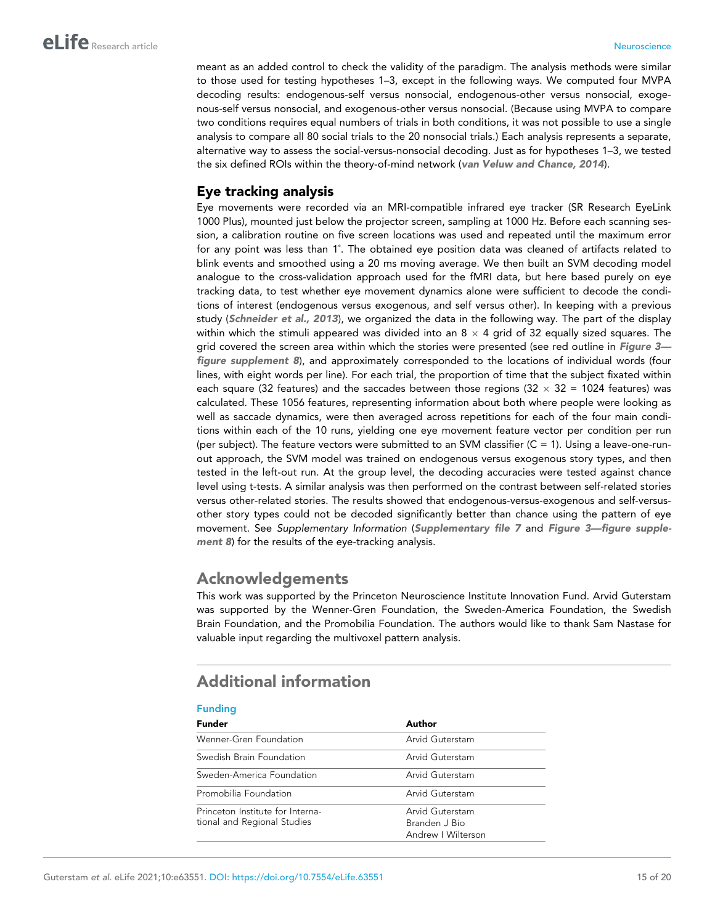meant as an added control to check the validity of the paradigm. The analysis methods were similar to those used for testing hypotheses 1–3, except in the following ways. We computed four MVPA decoding results: endogenous-self versus nonsocial, endogenous-other versus nonsocial, exogenous-self versus nonsocial, and exogenous-other versus nonsocial. (Because using MVPA to compare two conditions requires equal numbers of trials in both conditions, it was not possible to use a single analysis to compare all 80 social trials to the 20 nonsocial trials.) Each analysis represents a separate, alternative way to assess the social-versus-nonsocial decoding. Just as for hypotheses 1–3, we tested the six defined ROIs within the theory-of-mind network (van Veluw and Chance, 2014).

## Eye tracking analysis

Eye movements were recorded via an MRI-compatible infrared eye tracker (SR Research EyeLink 1000 Plus), mounted just below the projector screen, sampling at 1000 Hz. Before each scanning session, a calibration routine on five screen locations was used and repeated until the maximum error for any point was less than 1˚. The obtained eye position data was cleaned of artifacts related to blink events and smoothed using a 20 ms moving average. We then built an SVM decoding model analogue to the cross-validation approach used for the fMRI data, but here based purely on eye tracking data, to test whether eye movement dynamics alone were sufficient to decode the conditions of interest (endogenous versus exogenous, and self versus other). In keeping with a previous study (Schneider et al., 2013), we organized the data in the following way. The part of the display within which the stimuli appeared was divided into an  $8 \times 4$  grid of 32 equally sized squares. The grid covered the screen area within which the stories were presented (see red outline in Figure 3figure supplement 8), and approximately corresponded to the locations of individual words (four lines, with eight words per line). For each trial, the proportion of time that the subject fixated within each square (32 features) and the saccades between those regions (32  $\times$  32 = 1024 features) was calculated. These 1056 features, representing information about both where people were looking as well as saccade dynamics, were then averaged across repetitions for each of the four main conditions within each of the 10 runs, yielding one eye movement feature vector per condition per run (per subject). The feature vectors were submitted to an SVM classifier  $(C = 1)$ . Using a leave-one-runout approach, the SVM model was trained on endogenous versus exogenous story types, and then tested in the left-out run. At the group level, the decoding accuracies were tested against chance level using t-tests. A similar analysis was then performed on the contrast between self-related stories versus other-related stories. The results showed that endogenous-versus-exogenous and self-versusother story types could not be decoded significantly better than chance using the pattern of eye movement. See Supplementary Information (Supplementary file 7 and Figure 3—figure supplement 8) for the results of the eye-tracking analysis.

## Acknowledgements

This work was supported by the Princeton Neuroscience Institute Innovation Fund. Arvid Guterstam was supported by the Wenner-Gren Foundation, the Sweden-America Foundation, the Swedish Brain Foundation, and the Promobilia Foundation. The authors would like to thank Sam Nastase for valuable input regarding the multivoxel pattern analysis.

## Additional information

| <b>Funding</b>                                                  |                                                        |  |  |  |
|-----------------------------------------------------------------|--------------------------------------------------------|--|--|--|
| <b>Funder</b>                                                   | Author                                                 |  |  |  |
| Wenner-Gren Foundation                                          | Arvid Guterstam                                        |  |  |  |
| Swedish Brain Foundation                                        | Arvid Guterstam                                        |  |  |  |
| Sweden-America Foundation                                       | Arvid Guterstam                                        |  |  |  |
| Promobilia Foundation                                           | Arvid Guterstam                                        |  |  |  |
| Princeton Institute for Interna-<br>tional and Regional Studies | Arvid Guterstam<br>Branden J Bio<br>Andrew   Wilterson |  |  |  |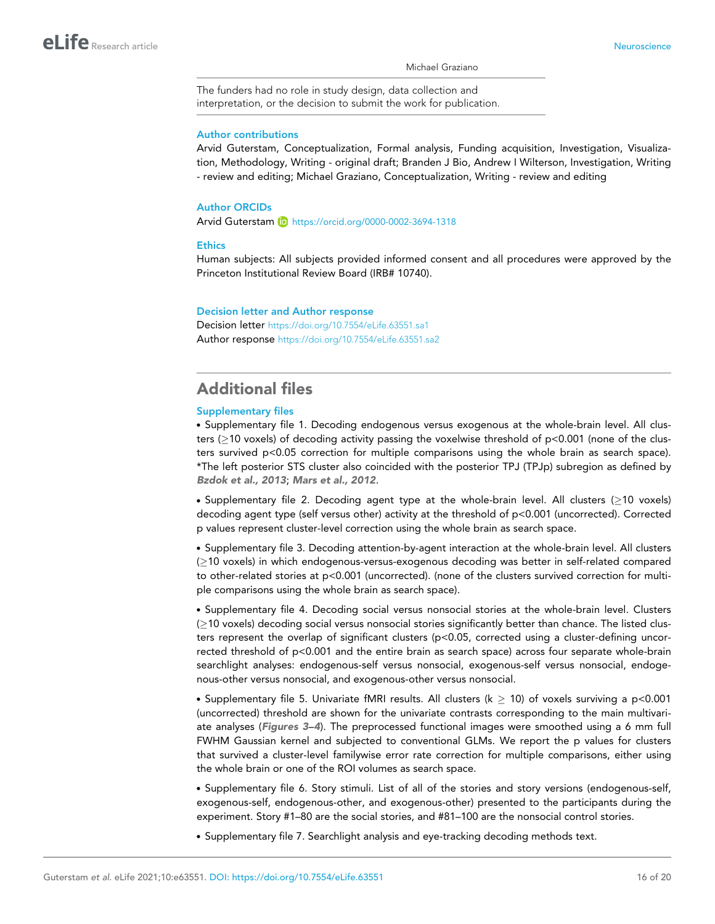Michael Graziano

The funders had no role in study design, data collection and interpretation, or the decision to submit the work for publication.

#### Author contributions

Arvid Guterstam, Conceptualization, Formal analysis, Funding acquisition, Investigation, Visualization, Methodology, Writing - original draft; Branden J Bio, Andrew I Wilterson, Investigation, Writing - review and editing; Michael Graziano, Conceptualization, Writing - review and editing

#### Author ORCIDs

Arvid Guterstam **b** https://orcid.org/0000-0002-3694-1318

#### **Ethics**

Human subjects: All subjects provided informed consent and all procedures were approved by the Princeton Institutional Review Board (IRB# 10740).

#### Decision letter and Author response

Decision letter https://doi.org/10.7554/eLife.63551.sa1 Author response https://doi.org/10.7554/eLife.63551.sa2

## Additional files

#### Supplementary files

. Supplementary file 1. Decoding endogenous versus exogenous at the whole-brain level. All clusters ( $\geq$ 10 voxels) of decoding activity passing the voxelwise threshold of p<0.001 (none of the clusters survived p<0.05 correction for multiple comparisons using the whole brain as search space). \*The left posterior STS cluster also coincided with the posterior TPJ (TPJp) subregion as defined by Bzdok et al., 2013; Mars et al., 2012.

• Supplementary file 2. Decoding agent type at the whole-brain level. All clusters  $( \geq 10$  voxels) decoding agent type (self versus other) activity at the threshold of p<0.001 (uncorrected). Corrected p values represent cluster-level correction using the whole brain as search space.

. Supplementary file 3. Decoding attention-by-agent interaction at the whole-brain level. All clusters (#10 voxels) in which endogenous-versus-exogenous decoding was better in self-related compared to other-related stories at p<0.001 (uncorrected). (none of the clusters survived correction for multiple comparisons using the whole brain as search space).

. Supplementary file 4. Decoding social versus nonsocial stories at the whole-brain level. Clusters  $( \geq 10$  voxels) decoding social versus nonsocial stories significantly better than chance. The listed clusters represent the overlap of significant clusters (p<0.05, corrected using a cluster-defining uncorrected threshold of p<0.001 and the entire brain as search space) across four separate whole-brain searchlight analyses: endogenous-self versus nonsocial, exogenous-self versus nonsocial, endogenous-other versus nonsocial, and exogenous-other versus nonsocial.

• Supplementary file 5. Univariate fMRI results. All clusters ( $k \ge 10$ ) of voxels surviving a p<0.001 (uncorrected) threshold are shown for the univariate contrasts corresponding to the main multivariate analyses (Figures 3–4). The preprocessed functional images were smoothed using a 6 mm full FWHM Gaussian kernel and subjected to conventional GLMs. We report the p values for clusters that survived a cluster-level familywise error rate correction for multiple comparisons, either using the whole brain or one of the ROI volumes as search space.

. Supplementary file 6. Story stimuli. List of all of the stories and story versions (endogenous-self, exogenous-self, endogenous-other, and exogenous-other) presented to the participants during the experiment. Story #1–80 are the social stories, and #81–100 are the nonsocial control stories.

. Supplementary file 7. Searchlight analysis and eye-tracking decoding methods text.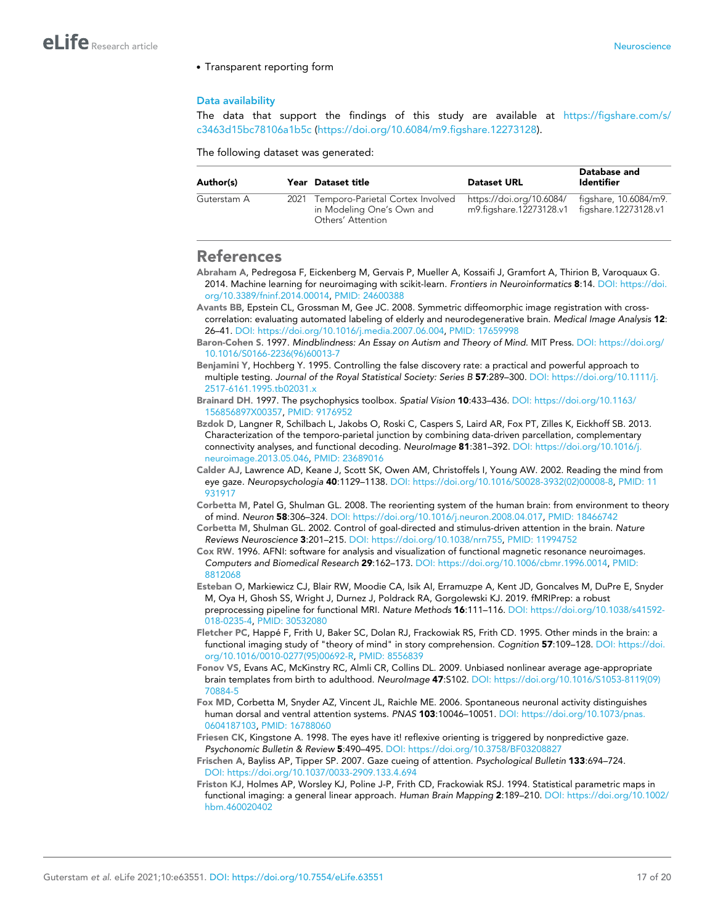. Transparent reporting form

#### Data availability

The data that support the findings of this study are available at https://figshare.com/s/ c3463d15bc78106a1b5c (https://doi.org/10.6084/m9.figshare.12273128).

The following dataset was generated:

| Author(s)   |      | Year Dataset title                                                                 | <b>Dataset URL</b>                                  | Database and<br><b>Identifier</b>             |
|-------------|------|------------------------------------------------------------------------------------|-----------------------------------------------------|-----------------------------------------------|
| Guterstam A | 2021 | Temporo-Parietal Cortex Involved<br>in Modeling One's Own and<br>Others' Attention | https://doi.org/10.6084/<br>m9.figshare.12273128.v1 | figshare, 10.6084/m9.<br>figshare.12273128.v1 |

## References

- Abraham A, Pedregosa F, Eickenberg M, Gervais P, Mueller A, Kossaifi J, Gramfort A, Thirion B, Varoquaux G. 2014. Machine learning for neuroimaging with scikit-learn. Frontiers in Neuroinformatics 8:14. DOI: https://doi. org/10.3389/fninf.2014.00014, PMID: 24600388
- Avants BB, Epstein CL, Grossman M, Gee JC. 2008. Symmetric diffeomorphic image registration with crosscorrelation: evaluating automated labeling of elderly and neurodegenerative brain. Medical Image Analysis 12: 26–41. DOI: https://doi.org/10.1016/j.media.2007.06.004, PMID: 17659998
- Baron-Cohen S. 1997. Mindblindness: An Essay on Autism and Theory of Mind. MIT Press. DOI: https://doi.org/ 10.1016/S0166-2236(96)60013-7

Benjamini Y, Hochberg Y. 1995. Controlling the false discovery rate: a practical and powerful approach to multiple testing. Journal of the Royal Statistical Society: Series B 57:289-300. DOI: https://doi.org/10.1111/j. 2517-6161.1995.tb02031.x

- Brainard DH. 1997. The psychophysics toolbox. Spatial Vision 10:433-436. DOI: https://doi.org/10.1163/ 156856897X00357, PMID: 9176952
- Bzdok D, Langner R, Schilbach L, Jakobs O, Roski C, Caspers S, Laird AR, Fox PT, Zilles K, Eickhoff SB. 2013. Characterization of the temporo-parietal junction by combining data-driven parcellation, complementary connectivity analyses, and functional decoding. NeuroImage 81:381-392. DOI: https://doi.org/10.1016/j. neuroimage.2013.05.046, PMID: 23689016

Calder AJ, Lawrence AD, Keane J, Scott SK, Owen AM, Christoffels I, Young AW. 2002. Reading the mind from eye gaze. Neuropsychologia 40:1129–1138. DOI: https://doi.org/10.1016/S0028-3932(02)00008-8, PMID: 11 931917

- Corbetta M, Patel G, Shulman GL. 2008. The reorienting system of the human brain: from environment to theory of mind. Neuron 58:306–324. DOI: https://doi.org/10.1016/j.neuron.2008.04.017, PMID: 18466742
- Corbetta M, Shulman GL. 2002. Control of goal-directed and stimulus-driven attention in the brain. Nature Reviews Neuroscience 3:201–215. DOI: https://doi.org/10.1038/nrn755, PMID: 11994752
- Cox RW. 1996. AFNI: software for analysis and visualization of functional magnetic resonance neuroimages. Computers and Biomedical Research 29:162–173. DOI: https://doi.org/10.1006/cbmr.1996.0014, PMID: 8812068
- Esteban O, Markiewicz CJ, Blair RW, Moodie CA, Isik AI, Erramuzpe A, Kent JD, Goncalves M, DuPre E, Snyder M, Oya H, Ghosh SS, Wright J, Durnez J, Poldrack RA, Gorgolewski KJ. 2019. fMRIPrep: a robust preprocessing pipeline for functional MRI. Nature Methods 16:111-116. DOI: https://doi.org/10.1038/s41592-018-0235-4, PMID: 30532080
- Fletcher PC, Happé F, Frith U, Baker SC, Dolan RJ, Frackowiak RS, Frith CD. 1995. Other minds in the brain: a functional imaging study of "theory of mind" in story comprehension. Cognition 57:109-128. DOI: https://doi. org/10.1016/0010-0277(95)00692-R, PMID: 8556839
- Fonov VS, Evans AC, McKinstry RC, Almli CR, Collins DL. 2009. Unbiased nonlinear average age-appropriate brain templates from birth to adulthood. NeuroImage 47:S102. DOI: https://doi.org/10.1016/S1053-8119(09) 70884-5
- Fox MD, Corbetta M, Snyder AZ, Vincent JL, Raichle ME. 2006. Spontaneous neuronal activity distinguishes human dorsal and ventral attention systems. PNAS 103:10046-10051. DOI: https://doi.org/10.1073/pnas. 0604187103, PMID: 16788060
- Friesen CK, Kingstone A. 1998. The eyes have it! reflexive orienting is triggered by nonpredictive gaze. Psychonomic Bulletin & Review 5:490-495. DOI: https://doi.org/10.3758/BF03208827
- Frischen A, Bayliss AP, Tipper SP. 2007. Gaze cueing of attention. Psychological Bulletin 133:694-724. DOI: https://doi.org/10.1037/0033-2909.133.4.694
- Friston KJ, Holmes AP, Worsley KJ, Poline J-P, Frith CD, Frackowiak RSJ. 1994. Statistical parametric maps in functional imaging: a general linear approach. Human Brain Mapping 2:189–210. DOI: https://doi.org/10.1002/ hbm.460020402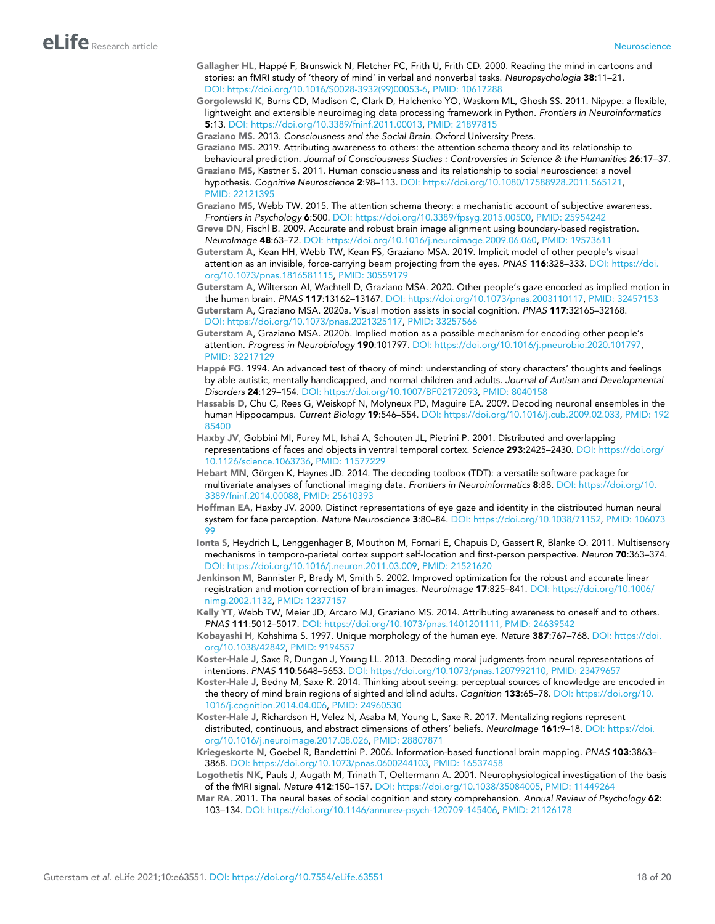- Gallagher HL, Happé F, Brunswick N, Fletcher PC, Frith U, Frith CD. 2000. Reading the mind in cartoons and stories: an fMRI study of 'theory of mind' in verbal and nonverbal tasks. Neuropsychologia 38:11–21. DOI: https://doi.org/10.1016/S0028-3932(99)00053-6, PMID: 10617288
- Gorgolewski K, Burns CD, Madison C, Clark D, Halchenko YO, Waskom ML, Ghosh SS. 2011. Nipype: a flexible, lightweight and extensible neuroimaging data processing framework in Python. Frontiers in Neuroinformatics 5:13. DOI: https://doi.org/10.3389/fninf.2011.00013, PMID: 21897815
- Graziano MS. 2013. Consciousness and the Social Brain. Oxford University Press.
- Graziano MS. 2019. Attributing awareness to others: the attention schema theory and its relationship to behavioural prediction. Journal of Consciousness Studies : Controversies in Science & the Humanities 26:17-37.
- Graziano MS, Kastner S. 2011. Human consciousness and its relationship to social neuroscience: a novel hypothesis. Cognitive Neuroscience 2:98-113. DOI: https://doi.org/10.1080/17588928.2011.565121, PMID: 22121395
- Graziano MS, Webb TW. 2015. The attention schema theory: a mechanistic account of subjective awareness. Frontiers in Psychology 6:500. DOI: https://doi.org/10.3389/fpsyg.2015.00500, PMID: 25954242
- Greve DN, Fischl B. 2009. Accurate and robust brain image alignment using boundary-based registration. NeuroImage 48:63–72. DOI: https://doi.org/10.1016/j.neuroimage.2009.06.060, PMID: 19573611
- Guterstam A, Kean HH, Webb TW, Kean FS, Graziano MSA. 2019. Implicit model of other people's visual attention as an invisible, force-carrying beam projecting from the eyes. PNAS 116:328-333. DOI: https://doi. org/10.1073/pnas.1816581115, PMID: 30559179
- Guterstam A, Wilterson AI, Wachtell D, Graziano MSA. 2020. Other people's gaze encoded as implied motion in the human brain. PNAS 117:13162–13167. DOI: https://doi.org/10.1073/pnas.2003110117, PMID: 32457153
- Guterstam A, Graziano MSA. 2020a. Visual motion assists in social cognition. PNAS 117:32165-32168. DOI: https://doi.org/10.1073/pnas.2021325117, PMID: 33257566
- Guterstam A, Graziano MSA. 2020b. Implied motion as a possible mechanism for encoding other people's attention. Progress in Neurobiology 190:101797. DOI: https://doi.org/10.1016/j.pneurobio.2020.101797, PMID: 32217129
- Happé FG. 1994. An advanced test of theory of mind: understanding of story characters' thoughts and feelings by able autistic, mentally handicapped, and normal children and adults. Journal of Autism and Developmental Disorders 24:129–154. DOI: https://doi.org/10.1007/BF02172093, PMID: 8040158
- Hassabis D, Chu C, Rees G, Weiskopf N, Molyneux PD, Maguire EA. 2009. Decoding neuronal ensembles in the human Hippocampus. Current Biology 19:546–554. DOI: https://doi.org/10.1016/j.cub.2009.02.033, PMID: 192 85400
- Haxby JV, Gobbini MI, Furey ML, Ishai A, Schouten JL, Pietrini P. 2001. Distributed and overlapping representations of faces and objects in ventral temporal cortex. Science 293:2425–2430. DOI: https://doi.org/ 10.1126/science.1063736, PMID: 11577229
- Hebart MN, Görgen K, Haynes JD. 2014. The decoding toolbox (TDT): a versatile software package for multivariate analyses of functional imaging data. Frontiers in Neuroinformatics 8:88. DOI: https://doi.org/10. 3389/fninf.2014.00088, PMID: 25610393
- Hoffman EA, Haxby JV. 2000. Distinct representations of eye gaze and identity in the distributed human neural system for face perception. Nature Neuroscience 3:80-84. DOI: https://doi.org/10.1038/71152, PMID: 106073 99
- Ionta S, Heydrich L, Lenggenhager B, Mouthon M, Fornari E, Chapuis D, Gassert R, Blanke O. 2011. Multisensory mechanisms in temporo-parietal cortex support self-location and first-person perspective. Neuron 70:363–374. DOI: https://doi.org/10.1016/j.neuron.2011.03.009, PMID: 21521620
- Jenkinson M, Bannister P, Brady M, Smith S. 2002. Improved optimization for the robust and accurate linear registration and motion correction of brain images. NeuroImage 17:825-841. DOI: https://doi.org/10.1006/ nimg.2002.1132, PMID: 12377157
- Kelly YT, Webb TW, Meier JD, Arcaro MJ, Graziano MS. 2014. Attributing awareness to oneself and to others. PNAS 111:5012–5017. DOI: https://doi.org/10.1073/pnas.1401201111, PMID: 24639542
- Kobayashi H, Kohshima S. 1997. Unique morphology of the human eye. Nature 387:767-768. DOI: https://doi. org/10.1038/42842, PMID: 9194557
- Koster-Hale J, Saxe R, Dungan J, Young LL. 2013. Decoding moral judgments from neural representations of intentions. PNAS 110:5648–5653. DOI: https://doi.org/10.1073/pnas.1207992110, PMID: 23479657
- Koster-Hale J, Bedny M, Saxe R. 2014. Thinking about seeing: perceptual sources of knowledge are encoded in the theory of mind brain regions of sighted and blind adults. Cognition 133:65-78. DOI: https://doi.org/10. 1016/j.cognition.2014.04.006, PMID: 24960530
- Koster-Hale J, Richardson H, Velez N, Asaba M, Young L, Saxe R. 2017. Mentalizing regions represent distributed, continuous, and abstract dimensions of others' beliefs. NeuroImage 161:9-18. DOI: https://doi. org/10.1016/j.neuroimage.2017.08.026, PMID: 28807871
- Kriegeskorte N, Goebel R, Bandettini P. 2006. Information-based functional brain mapping. PNAS 103:3863-3868. DOI: https://doi.org/10.1073/pnas.0600244103, PMID: 16537458
- Logothetis NK, Pauls J, Augath M, Trinath T, Oeltermann A. 2001. Neurophysiological investigation of the basis of the fMRI signal. Nature 412:150–157. DOI: https://doi.org/10.1038/35084005, PMID: 11449264
- Mar RA. 2011. The neural bases of social cognition and story comprehension. Annual Review of Psychology 62: 103–134. DOI: https://doi.org/10.1146/annurev-psych-120709-145406, PMID: 21126178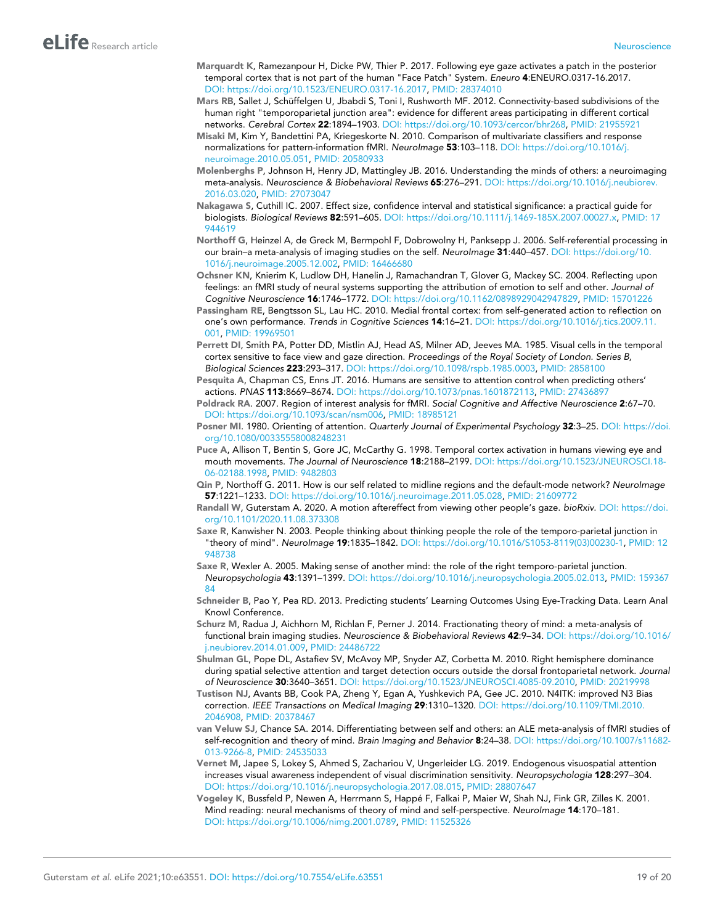- Marquardt K, Ramezanpour H, Dicke PW, Thier P. 2017. Following eye gaze activates a patch in the posterior temporal cortex that is not part of the human "Face Patch" System. Eneuro 4:ENEURO.0317-16.2017. DOI: https://doi.org/10.1523/ENEURO.0317-16.2017, PMID: 28374010
- Mars RB, Sallet J, Schüffelgen U, Jbabdi S, Toni I, Rushworth MF. 2012. Connectivity-based subdivisions of the human right "temporoparietal junction area": evidence for different areas participating in different cortical networks. Cerebral Cortex 22:1894–1903. DOI: https://doi.org/10.1093/cercor/bhr268, PMID: 21955921
- Misaki M, Kim Y, Bandettini PA, Kriegeskorte N. 2010. Comparison of multivariate classifiers and response normalizations for pattern-information fMRI. NeuroImage 53:103-118. DOI: https://doi.org/10.1016/j. neuroimage.2010.05.051, PMID: 20580933
- Molenberghs P, Johnson H, Henry JD, Mattingley JB. 2016. Understanding the minds of others: a neuroimaging meta-analysis. Neuroscience & Biobehavioral Reviews 65:276-291. DOI: https://doi.org/10.1016/j.neubiorev. 2016.03.020, PMID: 27073047
- Nakagawa S, Cuthill IC. 2007. Effect size, confidence interval and statistical significance: a practical guide for biologists. Biological Reviews 82:591–605. DOI: https://doi.org/10.1111/j.1469-185X.2007.00027.x, PMID: 17 944619
- Northoff G, Heinzel A, de Greck M, Bermpohl F, Dobrowolny H, Panksepp J. 2006. Self-referential processing in our brain–a meta-analysis of imaging studies on the self. NeuroImage 31:440-457. DOI: https://doi.org/10. 1016/j.neuroimage.2005.12.002, PMID: 16466680
- Ochsner KN, Knierim K, Ludlow DH, Hanelin J, Ramachandran T, Glover G, Mackey SC. 2004. Reflecting upon feelings: an fMRI study of neural systems supporting the attribution of emotion to self and other. Journal of Cognitive Neuroscience 16:1746–1772. DOI: https://doi.org/10.1162/0898929042947829, PMID: 15701226
- Passingham RE, Bengtsson SL, Lau HC. 2010. Medial frontal cortex: from self-generated action to reflection on one's own performance. Trends in Cognitive Sciences 14:16–21. DOI: https://doi.org/10.1016/j.tics.2009.11. 001, PMID: 19969501
- Perrett DI, Smith PA, Potter DD, Mistlin AJ, Head AS, Milner AD, Jeeves MA. 1985. Visual cells in the temporal cortex sensitive to face view and gaze direction. Proceedings of the Royal Society of London. Series B, Biological Sciences 223:293–317. DOI: https://doi.org/10.1098/rspb.1985.0003, PMID: 2858100
- Pesquita A, Chapman CS, Enns JT. 2016. Humans are sensitive to attention control when predicting others' actions. PNAS 113:8669-8674. DOI: https://doi.org/10.1073/pnas.1601872113, PMID: 27436897
- Poldrack RA. 2007. Region of interest analysis for fMRI. Social Cognitive and Affective Neuroscience 2:67–70. DOI: https://doi.org/10.1093/scan/nsm006, PMID: 18985121
- Posner MI. 1980. Orienting of attention. Quarterly Journal of Experimental Psychology 32:3-25. DOI: https://doi. org/10.1080/00335558008248231
- Puce A, Allison T, Bentin S, Gore JC, McCarthy G. 1998. Temporal cortex activation in humans viewing eye and mouth movements. The Journal of Neuroscience 18:2188-2199. DOI: https://doi.org/10.1523/JNEUROSCI.18-06-02188.1998, PMID: 9482803
- Qin P, Northoff G. 2011. How is our self related to midline regions and the default-mode network? NeuroImage 57:1221–1233. DOI: https://doi.org/10.1016/j.neuroimage.2011.05.028, PMID: 21609772
- Randall W, Guterstam A. 2020. A motion aftereffect from viewing other people's gaze. bioRxiv. DOI: https://doi. org/10.1101/2020.11.08.373308
- Saxe R, Kanwisher N. 2003. People thinking about thinking people the role of the temporo-parietal junction in "theory of mind". NeuroImage 19:1835–1842. DOI: https://doi.org/10.1016/S1053-8119(03)00230-1, PMID: 12 948738
- Saxe R, Wexler A. 2005. Making sense of another mind: the role of the right temporo-parietal junction. Neuropsychologia 43:1391–1399. DOI: https://doi.org/10.1016/j.neuropsychologia.2005.02.013, PMID: 159367 84
- Schneider B, Pao Y, Pea RD. 2013. Predicting students' Learning Outcomes Using Eye-Tracking Data. Learn Anal Knowl Conference.
- Schurz M, Radua J, Aichhorn M, Richlan F, Perner J. 2014. Fractionating theory of mind: a meta-analysis of functional brain imaging studies. Neuroscience & Biobehavioral Reviews 42:9-34. DOI: https://doi.org/10.1016/ j.neubiorev.2014.01.009, PMID: 24486722
- Shulman GL, Pope DL, Astafiev SV, McAvoy MP, Snyder AZ, Corbetta M. 2010. Right hemisphere dominance during spatial selective attention and target detection occurs outside the dorsal frontoparietal network. Journal of Neuroscience 30:3640–3651. DOI: https://doi.org/10.1523/JNEUROSCI.4085-09.2010, PMID: 20219998
- Tustison NJ, Avants BB, Cook PA, Zheng Y, Egan A, Yushkevich PA, Gee JC. 2010. N4ITK: improved N3 Bias correction. IEEE Transactions on Medical Imaging 29:1310-1320. DOI: https://doi.org/10.1109/TMI.2010. 2046908, PMID: 20378467
- van Veluw SJ, Chance SA. 2014. Differentiating between self and others: an ALE meta-analysis of fMRI studies of self-recognition and theory of mind. Brain Imaging and Behavior 8:24-38. DOI: https://doi.org/10.1007/s11682-013-9266-8, PMID: 24535033
- Vernet M, Japee S, Lokey S, Ahmed S, Zachariou V, Ungerleider LG. 2019. Endogenous visuospatial attention increases visual awareness independent of visual discrimination sensitivity. Neuropsychologia 128:297–304. DOI: https://doi.org/10.1016/j.neuropsychologia.2017.08.015, PMID: 28807647
- Vogeley K, Bussfeld P, Newen A, Herrmann S, Happé F, Falkai P, Maier W, Shah NJ, Fink GR, Zilles K. 2001. Mind reading: neural mechanisms of theory of mind and self-perspective. NeuroImage 14:170-181. DOI: https://doi.org/10.1006/nimg.2001.0789, PMID: 11525326